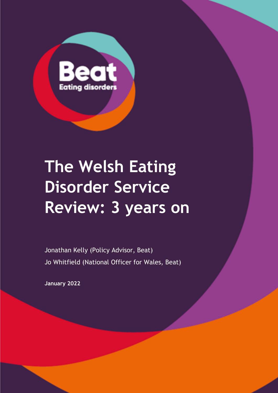

# **The Welsh Eating Disorder Service Review: 3 years on**

Jonathan Kelly (Policy Advisor, Beat) Jo Whitfield (National Officer for Wales, Beat)

**January 2022**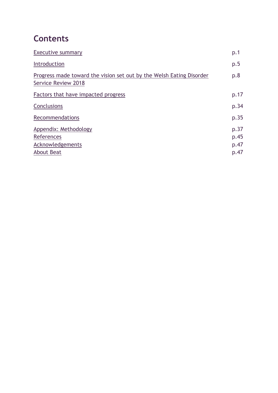# **Contents**

| p.1  |
|------|
| p.5  |
| p.8  |
| p.17 |
| p.34 |
| p.35 |
| p.37 |
| p.45 |
| p.47 |
| p.47 |
|      |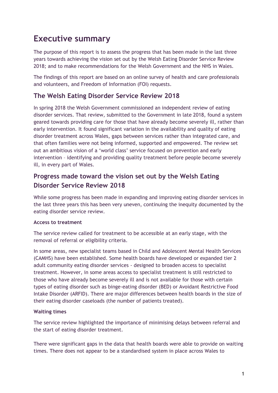# <span id="page-2-0"></span>**Executive summary**

The purpose of this report is to assess the progress that has been made in the last three years towards achieving the vision set out by the Welsh Eating Disorder Service Review 2018; and to make recommendations for the Welsh Government and the NHS in Wales.

The findings of this report are based on an online survey of health and care professionals and volunteers, and Freedom of Information (FOI) requests.

### **The Welsh Eating Disorder Service Review 2018**

In spring 2018 the Welsh Government commissioned an independent review of eating disorder services. That review, submitted to the Government in late 2018, found a system geared towards providing care for those that have already become severely ill, rather than early intervention. It found significant variation in the availability and quality of eating disorder treatment across Wales, gaps between services rather than integrated care, and that often families were not being informed, supported and empowered. The review set out an ambitious vision of a 'world class' service focused on prevention and early intervention – identifying and providing quality treatment before people become severely ill, in every part of Wales.

# **Progress made toward the vision set out by the Welsh Eating Disorder Service Review 2018**

While some progress has been made in expanding and improving eating disorder services in the last three years this has been very uneven, continuing the inequity documented by the eating disorder service review.

#### **Access to treatment**

The service review called for treatment to be accessible at an early stage, with the removal of referral or eligibility criteria.

In some areas, new specialist teams based in Child and Adolescent Mental Health Services (CAMHS) have been established. Some health boards have developed or expanded tier 2 adult community eating disorder services - designed to broaden access to specialist treatment. However, in some areas access to specialist treatment is still restricted to those who have already become severely ill and is not available for those with certain types of eating disorder such as binge-eating disorder (BED) or Avoidant Restrictive Food Intake Disorder (ARFID). There are major differences between health boards in the size of their eating disorder caseloads (the number of patients treated).

#### **Waiting times**

The service review highlighted the importance of minimising delays between referral and the start of eating disorder treatment.

There were significant gaps in the data that health boards were able to provide on waiting times. There does not appear to be a standardised system in place across Wales to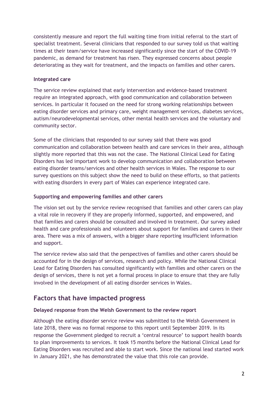consistently measure and report the full waiting time from initial referral to the start of specialist treatment. Several clinicians that responded to our survey told us that waiting times at their team/service have increased significantly since the start of the COVID-19 pandemic, as demand for treatment has risen. They expressed concerns about people deteriorating as they wait for treatment, and the impacts on families and other carers.

#### **Integrated care**

The service review explained that early intervention and evidence-based treatment require an integrated approach, with good communication and collaboration between services. In particular it focused on the need for strong working relationships between eating disorder services and primary care, weight management services, diabetes services, autism/neurodevelopmental services, other mental health services and the voluntary and community sector.

Some of the clinicians that responded to our survey said that there was good communication and collaboration between health and care services in their area, although slightly more reported that this was not the case. The National Clinical Lead for Eating Disorders has led important work to develop communication and collaboration between eating disorder teams/services and other health services in Wales. The response to our survey questions on this subject show the need to build on these efforts, so that patients with eating disorders in every part of Wales can experience integrated care.

#### **Supporting and empowering families and other carers**

The vision set out by the service review recognised that families and other carers can play a vital role in recovery if they are properly informed, supported, and empowered, and that families and carers should be consulted and involved in treatment. Our survey asked health and care professionals and volunteers about support for families and carers in their area. There was a mix of answers, with a bigger share reporting insufficient information and support.

The service review also said that the perspectives of families and other carers should be accounted for in the design of services, research and policy. While the National Clinical Lead for Eating Disorders has consulted significantly with families and other carers on the design of services, there is not yet a formal process in place to ensure that they are fully involved in the development of all eating disorder services in Wales.

# **Factors that have impacted progress**

#### **Delayed response from the Welsh Government to the review report**

Although the eating disorder service review was submitted to the Welsh Government in late 2018, there was no formal response to this report until September 2019. In its response the Government pledged to recruit a 'central resource' to support health boards to plan improvements to services. It took 15 months before the National Clinical Lead for Eating Disorders was recruited and able to start work. Since the national lead started work in January 2021, she has demonstrated the value that this role can provide.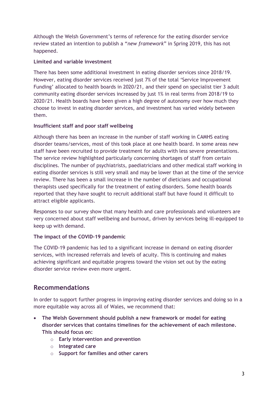Although the Welsh Government's terms of reference for the eating disorder service review stated an intention to publish a "*new framework*" in Spring 2019, this has not happened.

### **Limited and variable investment**

There has been some additional investment in eating disorder services since 2018/19. However, eating disorder services received just 7% of the total 'Service Improvement Funding' allocated to health boards in 2020/21, and their spend on specialist tier 3 adult community eating disorder services increased by just 1% in real terms from 2018/19 to 2020/21. Health boards have been given a high degree of autonomy over how much they choose to invest in eating disorder services, and investment has varied widely between them.

### **Insufficient staff and poor staff wellbeing**

Although there has been an increase in the number of staff working in CAMHS eating disorder teams/services, most of this took place at one health board. In some areas new staff have been recruited to provide treatment for adults with less severe presentations. The service review highlighted particularly concerning shortages of staff from certain disciplines. The number of psychiatrists, paediatricians and other medical staff working in eating disorder services is still very small and may be lower than at the time of the service review. There has been a small increase in the number of dieticians and occupational therapists used specifically for the treatment of eating disorders. Some health boards reported that they have sought to recruit additional staff but have found it difficult to attract eligible applicants.

Responses to our survey show that many health and care professionals and volunteers are very concerned about staff wellbeing and burnout, driven by services being ill-equipped to keep up with demand.

### **The impact of the COVID-19 pandemic**

The COVID-19 pandemic has led to a significant increase in demand on eating disorder services, with increased referrals and levels of acuity. This is continuing and makes achieving significant and equitable progress toward the vision set out by the eating disorder service review even more urgent.

# **Recommendations**

In order to support further progress in improving eating disorder services and doing so in a more equitable way across all of Wales, we recommend that:

- **The Welsh Government should publish a new framework or model for eating disorder services that contains timelines for the achievement of each milestone. This should focus on:**
	- o **Early intervention and prevention**
	- o **Integrated care**
	- o **Support for families and other carers**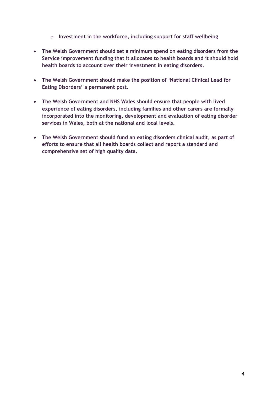- o **Investment in the workforce, including support for staff wellbeing**
- **The Welsh Government should set a minimum spend on eating disorders from the Service improvement funding that it allocates to health boards and it should hold health boards to account over their investment in eating disorders.**
- **The Welsh Government should make the position of 'National Clinical Lead for Eating Disorders' a permanent post.**
- **The Welsh Government and NHS Wales should ensure that people with lived experience of eating disorders, including families and other carers are formally incorporated into the monitoring, development and evaluation of eating disorder services in Wales, both at the national and local levels.**
- <span id="page-5-0"></span>• **The Welsh Government should fund an eating disorders clinical audit, as part of efforts to ensure that all health boards collect and report a standard and comprehensive set of high quality data.**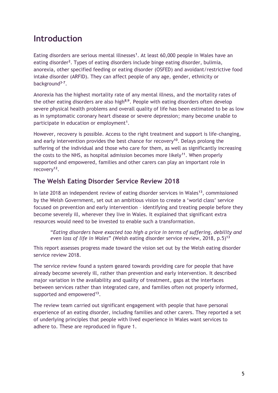# **Introduction**

Eating disorders are serious mental illnesses<sup>1</sup>. At least 60,000 people in Wales have an eating disorder<sup>2</sup>. Types of eating disorders include binge eating disorder, bulimia, anorexia, other specified feeding or eating disorder (OSFED) and avoidant/restrictive food intake disorder (ARFID). They can affect people of any age, gender, ethnicity or background**3-7** .

Anorexia has the highest mortality rate of any mental illness, and the mortality rates of the other eating disorders are also high**8;9**. People with eating disorders often develop severe physical health problems and overall quality of life has been estimated to be as low as in symptomatic coronary heart disease or severe depression; many become unable to participate in education or employment**<sup>1</sup>** .

However, recovery is possible. Access to the right treatment and support is life-changing, and early intervention provides the best chance for recovery**<sup>10</sup>**. Delays prolong the suffering of the individual and those who care for them, as well as significantly increasing the costs to the NHS, as hospital admission becomes more likely**<sup>11</sup>** . When properly supported and empowered, families and other carers can play an important role in recovery**<sup>12</sup>** .

# **The Welsh Eating Disorder Service Review 2018**

In late 2018 an independent review of eating disorder services in Wales**<sup>13</sup>** , commissioned by the Welsh Government, set out an ambitious vision to create a 'world class' service focused on prevention and early intervention – identifying and treating people before they become severely ill, wherever they live in Wales. It explained that significant extra resources would need to be invested to enable such a transformation.

"*Eating disorders have exacted too high a price in terms of suffering, debility and even loss of life in Wales*" (Welsh eating disorder service review, 2018, p.5) **13**

This report assesses progress made toward the vision set out by the Welsh eating disorder service review 2018.

The service review found a system geared towards providing care for people that have already become severely ill, rather than prevention and early intervention. It described major variation in the availability and quality of treatment, gaps at the interfaces between services rather than integrated care, and families often not properly informed, supported and empowered<sup>13</sup>.

The review team carried out significant engagement with people that have personal experience of an eating disorder, including families and other carers. They reported a set of underlying principles that people with lived experience in Wales want services to adhere to. These are reproduced in figure 1.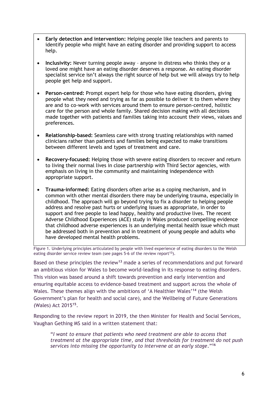- **Early detection and intervention:** Helping people like teachers and parents to identify people who might have an eating disorder and providing support to access help.
- **Inclusivity:** Never turning people away anyone in distress who thinks they or a loved one might have an eating disorder deserves a response. An eating disorder specialist service isn't always the right source of help but we will always try to help people get help and support.
- **Person-centred:** Prompt expert help for those who have eating disorders, giving people what they need and trying as far as possible to deliver it to them where they are and to co-work with services around them to ensure person-centred, holistic care for the person and whole family. Shared decision making with all decisions made together with patients and families taking into account their views, values and preferences.
- **Relationship-based:** Seamless care with strong trusting relationships with named clinicians rather than patients and families being expected to make transitions between different levels and types of treatment and care.
- **Recovery-focused:** Helping those with severe eating disorders to recover and return to living their normal lives in close partnership with Third Sector agencies, with emphasis on living in the community and maintaining independence with appropriate support.
- **Trauma-informed:** Eating disorders often arise as a coping mechanism, and in common with other mental disorders there may be underlying trauma, especially in childhood. The approach will go beyond trying to fix a disorder to helping people address and resolve past hurts or underlying issues as appropriate, in order to support and free people to lead happy, healthy and productive lives. The recent Adverse Childhood Experiences (ACE) study in Wales produced compelling evidence that childhood adverse experiences is an underlying mental health issue which must be addressed both in prevention and in treatment of young people and adults who have developed mental health problems.

Figure 1. Underlying principles articulated by people with lived experience of eating disorders to the Welsh eating disorder service review team (see pages 5-6 of the review report**<sup>13</sup>** ).

Based on these principles the review**<sup>13</sup>** made a series of recommendations and put forward an ambitious vision for Wales to become world-leading in its response to eating disorders. This vision was based around a shift towards prevention and early intervention and ensuring equitable access to evidence-based treatment and support across the whole of Wales. These themes align with the ambitions of 'A Healthier Wales'**<sup>14</sup>** (the Welsh Government's plan for health and social care), and the Wellbeing of Future Generations (Wales) Act 2015**<sup>15</sup>** .

Responding to the review report in 2019, the then Minister for Health and Social Services, Vaughan Gething MS said in a written statement that:

"*I want to ensure that patients who need treatment are able to access that treatment at the appropriate time, and that thresholds for treatment do not push services into missing the opportunity to intervene at an early stage*."**<sup>16</sup>**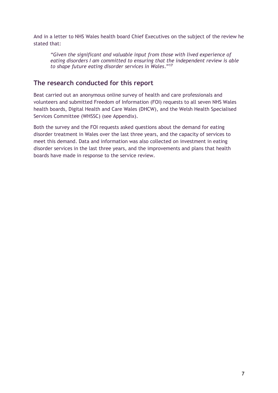And in a letter to NHS Wales health board Chief Executives on the subject of the review he stated that:

*"Given the significant and valuable input from those with lived experience of eating disorders I am committed to ensuring that the independent review is able to shape future eating disorder services in Wales*." **17**

# **The research conducted for this report**

Beat carried out an anonymous online survey of health and care professionals and volunteers and submitted Freedom of Information (FOI) requests to all seven NHS Wales health boards, Digital Health and Care Wales (DHCW), and the Welsh Health Specialised Services Committee (WHSSC) (see Appendix).

Both the survey and the FOI requests asked questions about the demand for eating disorder treatment in Wales over the last three years, and the capacity of services to meet this demand. Data and information was also collected on investment in eating disorder services in the last three years, and the improvements and plans that health boards have made in response to the service review.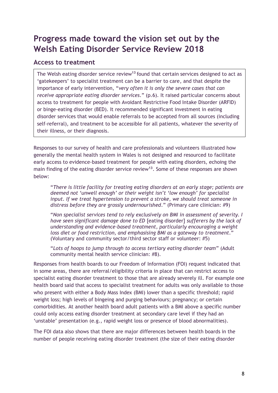# <span id="page-9-0"></span>**Progress made toward the vision set out by the Welsh Eating Disorder Service Review 2018**

### **Access to treatment**

The Welsh eating disorder service review**<sup>13</sup>**found that certain services designed to act as 'gatekeepers' to specialist treatment can be a barrier to care, and that despite the importance of early intervention, "*very often it is only the severe cases that can receive appropriate eating disorder services*." (p.6). It raised particular concerns about access to treatment for people with Avoidant Restrictive Food Intake Disorder (ARFID) or binge-eating disorder (BED). It recommended significant investment in eating disorder services that would enable referrals to be accepted from all sources (including self-referral), and treatment to be accessible for all patients, whatever the severity of their illness, or their diagnosis.

Responses to our survey of health and care professionals and volunteers illustrated how generally the mental health system in Wales is not designed and resourced to facilitate early access to evidence-based treatment for people with eating disorders, echoing the main finding of the eating disorder service review**<sup>13</sup>** . Some of these responses are shown below:

"*There is little facility for treating eating disorders at an early stage; patients are deemed not 'unwell enough' or their weight isn't 'low enough' for specialist input. If we treat hypertension to prevent a stroke, we should treat someone in distress before they are grossly undernourished*." (Primary care clinician: #9)

"*Non specialist services tend to rely exclusively on BMI in assessment of severity. I have seen significant damage done to ED* [eating disorder] *sufferers by the lack of understanding and evidence-based treatment, particularly encouraging a weight loss diet or food restriction, and emphasising BMI as a gateway to treatment*." (Voluntary and community sector/third sector staff or volunteer: #5)

"*Lots of hoops to jump through to access tertiary eating disorder team*" (Adult community mental health service clinician: #8).

Responses from health boards to our Freedom of Information (FOI) request indicated that in some areas, there are referral/eligibility criteria in place that can restrict access to specialist eating disorder treatment to those that are already severely ill. For example one health board said that access to specialist treatment for adults was only available to those who present with either a Body Mass Index (BMI) lower than a specific threshold; rapid weight loss; high levels of bingeing and purging behaviours; pregnancy; or certain comorbidities. At another health board adult patients with a BMI above a specific number could only access eating disorder treatment at secondary care level if they had an 'unstable' presentation (e.g., rapid weight loss or presence of blood abnormalities).

The FOI data also shows that there are major differences between health boards in the number of people receiving eating disorder treatment (the size of their eating disorder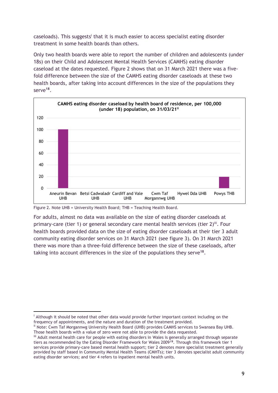caseloads). This suggests<sup>i</sup> that it is much easier to access specialist eating disorder treatment in some health boards than others.

Only two health boards were able to report the number of children and adolescents (under 18s) on their Child and Adolescent Mental Health Services (CAMHS) eating disorder caseload at the dates requested. Figure 2 shows that on 31 March 2021 there was a fivefold difference between the size of the CAMHS eating disorder caseloads at these two health boards, after taking into account differences in the size of the populations they serve**<sup>18</sup>** .



Figure 2. Note UHB = University Health Board; THB = Teaching Health Board.

For adults, almost no data was available on the size of eating disorder caseloads at primary-care (tier 1) or general secondary care mental health services (tier 2)<sup>iii</sup>. Four health boards provided data on the size of eating disorder caseloads at their tier 3 adult community eating disorder services on 31 March 2021 (see figure 3). On 31 March 2021 there was more than a three-fold difference between the size of these caseloads, after taking into account differences in the size of the populations they serve**<sup>18</sup>** .

<sup>&</sup>lt;sup>i</sup> Although it should be noted that other data would provide further important context including on the frequency of appointments, and the nature and duration of the treatment provided.

<sup>&</sup>lt;sup>ii</sup> Note: Cwm Taf Morgannwg University Health Board (UHB) provides CAMHS services to Swansea Bay UHB. Those health boards with a value of zero were not able to provide the data requested.

iii Adult mental health care for people with eating disorders in Wales is generally arranged through separate tiers as recommended by the Eating Disorder Framework for Wales 2009**<sup>19</sup>**. Through this framework tier 1 services provide primary-care based mental health support; tier 2 denotes more specialist treatment generally provided by staff based in Community Mental Health Teams (CMHTs); tier 3 denotes specialist adult community eating disorder services; and tier 4 refers to inpatient mental health units.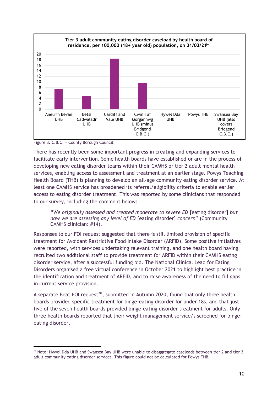

Figure 3. C.B.C. = County Borough Council.

There has recently been some important progress in creating and expanding services to facilitate early intervention. Some health boards have established or are in the process of developing new eating disorder teams within their CAMHS or tier 2 adult mental health services, enabling access to assessment and treatment at an earlier stage. Powys Teaching Health Board (THB) is planning to develop an all-age community eating disorder service. At least one CAMHS service has broadened its referral/eligibility criteria to enable earlier access to eating disorder treatment. This was reported by some clinicians that responded to our survey, including the comment below:

"*We originally assessed and treated moderate to severe ED* [eating disorder] *but now we are assessing any level of ED* [eating disorder] *concern*" (Community CAMHS clinician: #14).

Responses to our FOI request suggested that there is still limited provision of specific treatment for Avoidant Restrictive Food Intake Disorder (ARFID). Some positive initiatives were reported, with services undertaking relevant training, and one health board having recruited two additional staff to provide treatment for ARFID within their CAMHS eating disorder service, after a successful funding bid. The National Clinical Lead for Eating Disorders organised a free virtual conference in October 2021 to highlight best practice in the identification and treatment of ARFID, and to raise awareness of the need to fill gaps in current service provision.

A separate Beat FOI request<sup>20</sup>, submitted in Autumn 2020, found that only three health boards provided specific treatment for binge-eating disorder for under 18s, and that just five of the seven health boards provided binge-eating disorder treatment for adults. Only three health boards reported that their weight management service/s screened for bingeeating disorder.

iv Note: Hywel Dda UHB and Swansea Bay UHB were unable to disaggregate caseloads between tier 2 and tier 3 adult community eating disorder services. This figure could not be calculated for Powys THB.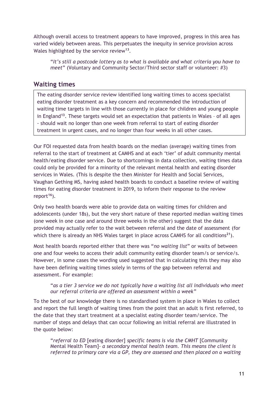Although overall access to treatment appears to have improved, progress in this area has varied widely between areas. This perpetuates the inequity in service provision across Wales highlighted by the service review**<sup>13</sup>** .

"*It's still a postcode lottery as to what is available and what criteria you have to meet*" (Voluntary and Community Sector/Third sector staff or volunteer: #3)

### **Waiting times**

The eating disorder service review identified long waiting times to access specialist eating disorder treatment as a key concern and recommended the introduction of waiting time targets in line with those currently in place for children and young people in England**<sup>13</sup>** . These targets would set an expectation that patients in Wales – of all ages - should wait no longer than one week from referral to start of eating disorder treatment in urgent cases, and no longer than four weeks in all other cases.

Our FOI requested data from health boards on the median (average) waiting times from referral to the start of treatment at CAMHS and at each 'tier' of adult community mental health/eating disorder service. Due to shortcomings in data collection, waiting times data could only be provided for a minority of the relevant mental health and eating disorder services in Wales. (This is despite the then Minister for Health and Social Services, Vaughan Gething MS, having asked health boards to conduct a baseline review of waiting times for eating disorder treatment in 2019, to inform their response to the review report**<sup>16</sup>** ).

Only two health boards were able to provide data on waiting times for children and adolescents (under 18s), but the very short nature of these reported median waiting times (one week in one case and around three weeks in the other) suggest that the data provided may actually refer to the wait between referral and the date of assessment (for which there is already an NHS Wales target in place across CAMHS for all conditions**<sup>21</sup>** ).

Most health boards reported either that there was "*no waiting list*" or waits of between one and four weeks to access their adult community eating disorder team/s or service/s. However, in some cases the wording used suggested that in calculating this they may also have been defining waiting times solely in terms of the gap between referral and assessment. For example:

#### "*as a tier 3 service we do not typically have a waiting list all individuals who meet our referral criteria are offered an assessment within a week*"

To the best of our knowledge there is no standardised system in place in Wales to collect and report the full length of waiting times from the point that an adult is first referred, to the date that they start treatment at a specialist eating disorder team/service. The number of steps and delays that can occur following an initial referral are illustrated in the quote below:

"*referral to ED* [eating disorder] *specific teams is via the CMHT* [Community Mental Health Team]*- a secondary mental health team. This means the client is referred to primary care via a GP, they are assessed and then placed on a waiting*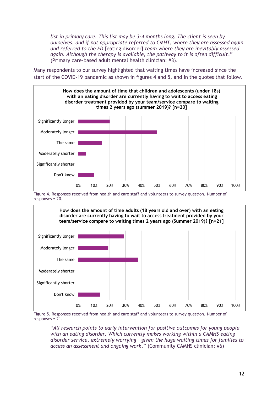*list in primary care. This list may be 3-4 months long. The client is seen by ourselves, and if not appropriate referred to CMHT, where they are assessed again and referred to the ED* [eating disorder] *team where they are inevitably assessed again. Although the therapy is available, the pathway to it is often difficult*." (Primary care-based adult mental health clinician: #3).

Many respondents to our survey highlighted that waiting times have increased since the start of the COVID-19 pandemic as shown in figures 4 and 5, and in the quotes that follow.



Figure 4. Responses received from health and care staff and volunteers to survey question. Number of responses = 20.



Figure 5. Responses received from health and care staff and volunteers to survey question. Number of responses = 21.

"*All research points to early intervention for positive outcomes for young people with an eating disorder. Which currently makes working within a CAMHS eating disorder service, extremely worrying – given the huge waiting times for families to access an assessment and ongoing work*." (Community CAMHS clinician: #6)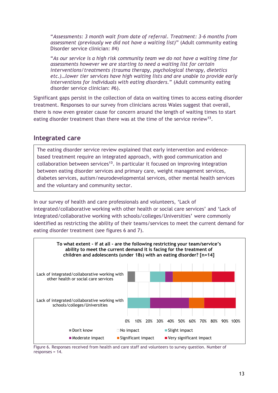"*Assessments: 3 month wait from date of referral. Treatment: 3-6 months from assessment (previously we did not have a waiting list)*" (Adult community eating Disorder service clinician: #4)

"*As our service is a high risk community team we do not have a waiting time for assessments however we are starting to need a waiting list for certain interventions/treatments (trauma therapy, psychological therapy, dietetics etc.)…lower tier services have high waiting lists and are unable to provide early interventions for individuals with eating disorders.*" (Adult community eating disorder service clinician: #6).

Significant gaps persist in the collection of data on waiting times to access eating disorder treatment. Responses to our survey from clinicians across Wales suggest that overall, there is now even greater cause for concern around the length of waiting times to start eating disorder treatment than there was at the time of the service review**<sup>13</sup>** .

### **Integrated care**

The eating disorder service review explained that early intervention and evidencebased treatment require an integrated approach, with good communication and collaboration between services**<sup>13</sup>** . In particular it focused on improving integration between eating disorder services and primary care, weight management services, diabetes services, autism/neurodevelopmental services, other mental health services and the voluntary and community sector.

In our survey of health and care professionals and volunteers, 'Lack of integrated/collaborative working with other health or social care services' and 'Lack of integrated/collaborative working with schools/colleges/Universities' were commonly identified as restricting the ability of their teams/services to meet the current demand for eating disorder treatment (see figures 6 and 7).

![](_page_14_Figure_6.jpeg)

Figure 6. Responses received from health and care staff and volunteers to survey question. Number of responses = 14.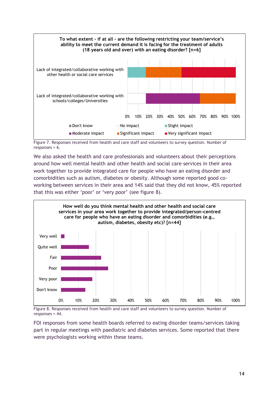![](_page_15_Figure_0.jpeg)

Figure 7. Responses received from health and care staff and volunteers to survey question. Number of responses =  $6.$ 

We also asked the health and care professionals and volunteers about their perceptions around how well mental health and other health and social care services in their area work together to provide integrated care for people who have an eating disorder and comorbidities such as autism, diabetes or obesity. Although some reported good coworking between services in their area and 14% said that they did not know, 45% reported that this was either 'poor' or 'very poor' (see figure 8).

![](_page_15_Figure_3.jpeg)

Figure 8. Responses received from health and care staff and volunteers to survey question. Number of responses = 44.

FOI responses from some health boards referred to eating disorder teams/services taking part in regular meetings with paediatric and diabetes services. Some reported that there were psychologists working within these teams.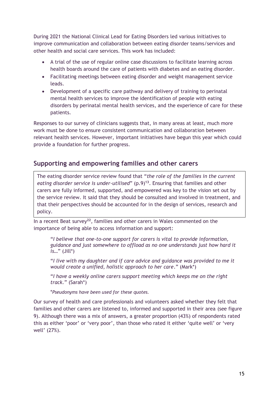During 2021 the National Clinical Lead for Eating Disorders led various initiatives to improve communication and collaboration between eating disorder teams/services and other health and social care services. This work has included:

- A trial of the use of regular online case discussions to facilitate learning across health boards around the care of patients with diabetes and an eating disorder.
- Facilitating meetings between eating disorder and weight management service leads.
- Development of a specific care pathway and delivery of training to perinatal mental health services to improve the identification of people with eating disorders by perinatal mental health services, and the experience of care for these patients.

Responses to our survey of clinicians suggests that, in many areas at least, much more work must be done to ensure consistent communication and collaboration between relevant health services. However, important initiatives have begun this year which could provide a foundation for further progress.

# **Supporting and empowering families and other carers**

The eating disorder service review found that "*the role of the families in the current eating disorder service is under-utilised*" (p.9)**<sup>13</sup>** . Ensuring that families and other carers are fully informed, supported, and empowered was key to the vision set out by the service review. It said that they should be consulted and involved in treatment, and that their perspectives should be accounted for in the design of services, research and policy.

In a recent Beat survey**<sup>22</sup>** , families and other carers in Wales commented on the importance of being able to access information and support:

"*I believe that one-to-one support for carers is vital to provide information, guidance and just somewhere to offload as no one understands just how hard it is*…" (Jill\*)

"*I live with my daughter and if care advice and guidance was provided to me it would create a unified, holistic approach to her care*." (Mark\*)

"*I have a weekly online carers support meeting which keeps me on the right track.*" (Sarah\*)

\**Pseudonyms have been used for these quotes.*

Our survey of health and care professionals and volunteers asked whether they felt that families and other carers are listened to, informed and supported in their area (see figure 9). Although there was a mix of answers, a greater proportion (43%) of respondents rated this as either 'poor' or 'very poor', than those who rated it either 'quite well' or 'very well' (27%).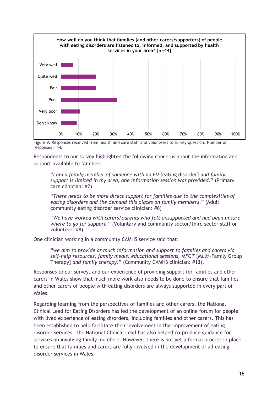![](_page_17_Figure_0.jpeg)

Figure 9. Responses received from health and care staff and volunteers to survey question. Number of responses =  $44$ .

Respondents to our survey highlighted the following concerns about the information and support available to families:

"*I am a family member of someone with an ED* [eating disorder] *and family support is limited in my area, one information session was provided*." (Primary care clinician: #2)

"*There needs to be more direct support for families due to the complexities of eating disorders and the demand this places on family members*." (Adult community eating disorder service clinician: #6)

"*We have worked with carers/parents who felt unsupported and had been unsure where to go for support*." (Voluntary and community sector/third sector staff or volunteer: #8)

One clinician working in a community CAMHS service said that:

"*we aim to provide as much information and support to families and carers via self-help resources, family meals, educational sessions, MFGT* [Multi-Family Group Therapy] *and family therapy*." (Community CAMHS clinician: #13).

Responses to our survey, and our experience of providing support for families and other carers in Wales show that much more work also needs to be done to ensure that families and other carers of people with eating disorders are always supported in every part of Wales.

Regarding learning from the perspectives of families and other carers, the National Clinical Lead for Eating Disorders has led the development of an online forum for people with lived experience of eating disorders, including families and other carers. This has been established to help facilitate their involvement in the improvement of eating disorder services. The National Clinical Lead has also helped co-produce guidance for services on involving family members. However, there is not yet a formal process in place to ensure that families and carers are fully involved in the development of all eating disorder services in Wales.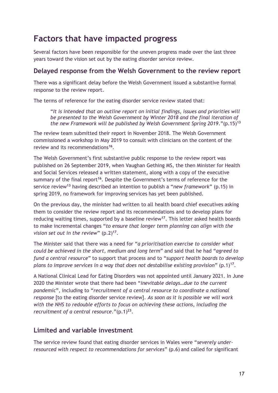# <span id="page-18-0"></span>**Factors that have impacted progress**

Several factors have been responsible for the uneven progress made over the last three years toward the vision set out by the eating disorder service review.

### **Delayed response from the Welsh Government to the review report**

There was a significant delay before the Welsh Government issued a substantive formal response to the review report.

The terms of reference for the eating disorder service review stated that:

"*It is intended that an outline report on initial findings, issues and priorities will be presented to the Welsh Government by Winter 2018 and the final iteration of the new Framework will be published by Welsh Government Spring 2019*."(p.15)**<sup>13</sup>**

The review team submitted their report in November 2018. The Welsh Government commissioned a workshop in May 2019 to consult with clinicians on the content of the review and its recommendations**<sup>16</sup>** .

The Welsh Government's first substantive public response to the review report was published on 26 September 2019, when Vaughan Gething MS, the then Minister for Health and Social Services released a written statement, along with a copy of the executive summary of the final report<sup>16</sup>. Despite the Government's terms of reference for the service review**<sup>13</sup>** having described an intention to publish a "*new framework*" (p.15) in spring 2019, no framework for improving services has yet been published.

On the previous day, the minister had written to all health board chief executives asking them to consider the review report and its recommendations and to develop plans for reducing waiting times, supported by a baseline review**<sup>17</sup>** . This letter asked health boards to make incremental changes "*to ensure that longer term planning can align with the vision set out in the review*" (p.2)**<sup>17</sup>** .

The Minister said that there was a need for "*a prioritisation exercise to consider what could be achieved in the short, medium and long term*" and said that he had "*agreed to fund a central resource*" to support that process and to "*support health boards to develop plans to improve services in a way that does not destabilise existing provision*" (p.1)**<sup>17</sup>** .

A National Clinical Lead for Eating Disorders was not appointed until January 2021. In June 2020 the Minister wrote that there had been "*inevitable delays…due to the current pandemic*", including to "*recruitment of a central resource to coordinate a national response* [to the eating disorder service review]. *As soon as it is possible we will work with the NHS to redouble efforts to focus on achieving these actions, including the recruitment of a central resource*."(p.1)**<sup>23</sup>** .

### **Limited and variable investment**

The service review found that eating disorder services in Wales were "*severely underresourced with respect to recommendations for services*" (p.6) and called for significant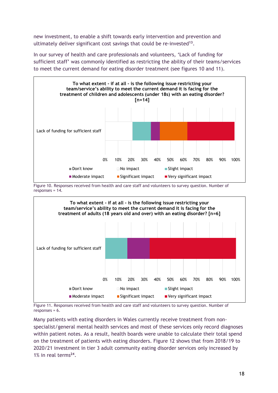new investment, to enable a shift towards early intervention and prevention and ultimately deliver significant cost savings that could be re-invested**<sup>13</sup>** .

In our survey of health and care professionals and volunteers, 'Lack of funding for sufficient staff' was commonly identified as restricting the ability of their teams/services to meet the current demand for eating disorder treatment (see figures 10 and 11).

![](_page_19_Figure_2.jpeg)

Figure 10. Responses received from health and care staff and volunteers to survey question. Number of responses =  $14$ .

![](_page_19_Figure_4.jpeg)

Figure 11. Responses received from health and care staff and volunteers to survey question. Number of responses = 6.

Many patients with eating disorders in Wales currently receive treatment from nonspecialist/general mental health services and most of these services only record diagnoses within patient notes. As a result, health boards were unable to calculate their total spend on the treatment of patients with eating disorders. Figure 12 shows that from 2018/19 to 2020/21 investment in tier 3 adult community eating disorder services only increased by 1% in real terms**<sup>24</sup>** .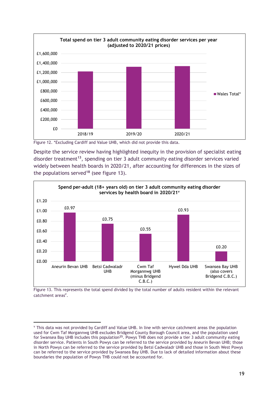![](_page_20_Figure_0.jpeg)

Figure 12. \*Excluding Cardiff and Value UHB, which did not provide this data.

Despite the service review having highlighted inequity in the provision of specialist eating disorder treatment**<sup>13</sup>** , spending on tier 3 adult community eating disorder services varied widely between health boards in 2020/21, after accounting for differences in the sizes of the populations served**<sup>18</sup>** (see figure 13).

![](_page_20_Figure_3.jpeg)

Figure 13. This represents the total spend divided by the total number of adults resident within the relevant catchment areas<sup>v</sup>.

 $\rm{v}$  This data was not provided by Cardiff and Value UHB. In line with service catchment areas the population used for Cwm Taf Morgannwg UHB excludes Bridgend County Borough Council area, and the population used for Swansea Bay UHB includes this population**<sup>25</sup>** . Powys THB does not provide a tier 3 adult community eating disorder service. Patients in South Powys can be referred to the service provided by Aneurin Bevan UHB; those in North Powys can be referred to the service provided by Betsi Cadwaladr UHB and those in South West Powys can be referred to the service provided by Swansea Bay UHB. Due to lack of detailed information about these boundaries the population of Powys THB could not be accounted for.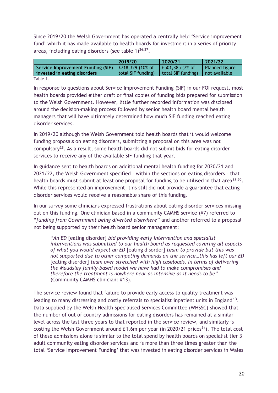Since 2019/20 the Welsh Government has operated a centrally held 'Service improvement fund' which it has made available to health boards for investment in a series of priority areas, including eating disorders (see table 1)**26;27** .

|                                   | 2019/20            | 2020/21            | 2021/22         |
|-----------------------------------|--------------------|--------------------|-----------------|
| Service Improvement Funding (SIF) | $E718,329$ (10% of | £501,385 (7% of    | Planned figure  |
| invested in eating disorders      | total SIF funding) | total SIF funding) | I not available |
| Table 1.                          |                    |                    |                 |

In response to questions about Service Improvement Funding (SIF) in our FOI request, most health boards provided either draft or final copies of funding bids prepared for submission to the Welsh Government. However, little further recorded information was disclosed around the decision-making process followed by senior health board mental health managers that will have ultimately determined how much SIF funding reached eating disorder services.

In 2019/20 although the Welsh Government told health boards that it would welcome funding proposals on eating disorders, submitting a proposal on this area was not compulsory**<sup>28</sup>**. As a result, some health boards did not submit bids for eating disorder services to receive any of the available SIF funding that year.

In guidance sent to health boards on additional mental health funding for 2020/21 and 2021/22, the Welsh Government specified – within the sections on eating disorders – that health boards must submit at least one proposal for funding to be utilised in that area**29;30** . While this represented an improvement, this still did not provide a guarantee that eating disorder services would receive a reasonable share of this funding.

In our survey some clinicians expressed frustrations about eating disorder services missing out on this funding. One clinician based in a community CAMHS service (#7) referred to "*funding from Government being diverted elsewhere*" and another referred to a proposal not being supported by their health board senior management:

"*An ED* [eating disorder] *bid providing early intervention and specialist interventions was submitted to our health board as requested covering all aspects of what you would expect an ED* [eating disorder] *team to provide but this was not supported due to other competing demands on the service…this has left our ED* [eating disorder] *team over stretched with high caseloads. In terms of delivering the Maudsley family-based model we have had to make compromises and therefore the treatment is nowhere near as intensive as it needs to be*" (Community CAMHS clinician: #13).

The service review found that failure to provide early access to quality treatment was leading to many distressing and costly referrals to specialist inpatient units in England**<sup>13</sup>** . Data supplied by the Welsh Health Specialised Services Committee (WHSSC) showed that the number of out of country admissions for eating disorders has remained at a similar level across the last three years to that reported in the service review, and similarly is costing the Welsh Government around £1.6m per year (in 2020/21 prices**<sup>24</sup>** ). The total cost of these admissions alone is similar to the total spend by health boards on specialist tier 3 adult community eating disorder services and is more than three times greater than the total 'Service Improvement Funding' that was invested in eating disorder services in Wales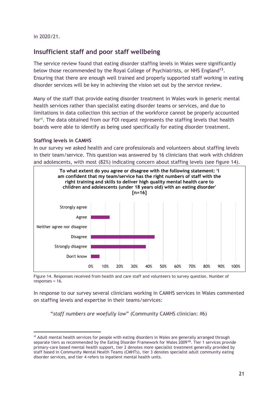in 2020/21.

# **Insufficient staff and poor staff wellbeing**

The service review found that eating disorder staffing levels in Wales were significantly below those recommended by the Royal College of Psychiatrists, or NHS England**<sup>13</sup>** . Ensuring that there are enough well trained and properly supported staff working in eating disorder services will be key in achieving the vision set out by the service review.

Many of the staff that provide eating disorder treatment in Wales work in generic mental health services rather than specialist eating disorder teams or services, and due to limitations in data collection this section of the workforce cannot be properly accounted for<sup>vi</sup>. The data obtained from our FOI request represents the staffing levels that health boards were able to identify as being used specifically for eating disorder treatment.

#### **Staffing levels in CAMHS**

In our survey we asked health and care professionals and volunteers about staffing levels in their team/service. This question was answered by 16 clinicians that work with children and adolescents, with most (82%) indicating concern about staffing levels (see figure 14).

![](_page_22_Figure_6.jpeg)

Figure 14. Responses received from health and care staff and volunteers to survey question. Number of responses = 16.

In response to our survey several clinicians working in CAMHS services in Wales commented on staffing levels and expertise in their teams/services:

"*staff numbers are woefully low*" (Community CAMHS clinician: #6)

vi Adult mental health services for people with eating disorders in Wales are generally arranged through separate tiers as recommended by the Eating Disorder Framework for Wales 2009**<sup>19</sup>**. Tier 1 services provide primary-care based mental health support, tier 2 denotes more specialist treatment generally provided by staff based in Community Mental Health Teams (CMHTs), tier 3 denotes specialist adult community eating disorder services, and tier 4 refers to inpatient mental health units.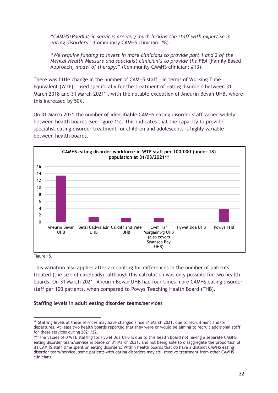*"CAMHS/Paediatric services are very much lacking the staff with expertise in eating disorders"* (Community CAMHS clinician: #8)

"*We require funding to invest in more clinicians to provide part 1 and 2 of the Mental Health Measure and specialist clinician's to provide the FBA* [Family Based Approach] *model of therapy*." (Community CAMHS clinician: #13).

There was little change in the number of CAMHS staff – in terms of Working Time Equivalent (WTE) – used specifically for the treatment of eating disorders between 31 March 2018 and 31 March 2021<sup>vii</sup>, with the notable exception of Aneurin Bevan UHB, where this increased by 50%.

On 31 March 2021 the number of identifiable CAMHS eating disorder staff varied widely between health boards (see figure 15). This indicates that the capacity to provide specialist eating disorder treatment for children and adolescents is highly variable between health boards.

![](_page_23_Figure_4.jpeg)

Figure 15.

This variation also applies after accounting for differences in the number of patients treated (the size of caseloads), although this calculation was only possible for two health boards. On 31 March 2021, Aneurin Bevan UHB had four times more CAMHS eating disorder staff per 100 patients, when compared to Powys Teaching Health Board (THB).

#### **Staffing levels in adult eating disorder teams/services**

vii Staffing levels at these services may have changed since 31 March 2021, due to recruitment and/or departures. At least two health boards reported that they were or would be aiming to recruit additional staff for these services during 2021/22.

viii The values of 0 WTE staffing for Hywel Dda UHB is due to this health board not having a separate CAMHS eating disorder team/service in place on 31 March 2021, and not being able to disaggregate the proportion of its CAMHS staff time spent on eating disorders. Within health boards that do have a distinct CAMHS eating disorder team/service, some patients with eating disorders may still receive treatment from other CAMHS clinicians.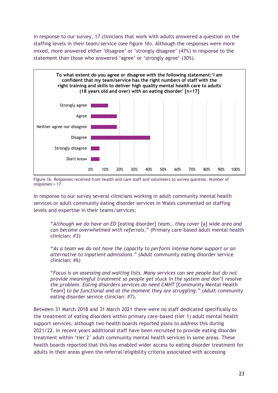In response to our survey, 17 clinicians that work with adults answered a question on the staffing levels in their team/service (see figure 16). Although the responses were more mixed, more answered either 'disagree' or 'strongly disagree' (47%) in response to the statement than those who answered 'agree' or 'strongly agree' (30%).

![](_page_24_Figure_1.jpeg)

Figure 16. Responses received from health and care staff and volunteers to survey question. Number of responses = 17.

In response to our survey several clinicians working in adult community mental health services or adult community eating disorder services in Wales commented on staffing levels and expertise in their teams/services:

"*Although we do have an ED* [eating disorder] *team… they cover* [a] *wide area and can become overwhelmed with referrals*." (Primary care-based adult mental health clinician: #3)

"*As a team we do not have the capacity to perform intense home support or an alternative to inpatient admissions*." (Adult community eating disorder service clinician: #6)

"*Focus is on assessing and waiting lists. Many services can see people but do not provide meaningful treatment so people get stuck in the system and don't resolve the problem. Eating disorders services do need CMHT* [Community Mental Health Team] *to be functional and at the moment they are struggling*." (Adult community eating disorder service clinician: #7).

Between 31 March 2018 and 31 March 2021 there were no staff dedicated specifically to the treatment of eating disorders within primary care-based (tier 1) adult mental health support services, although two health boards reported plans to address this during 2021/22. In recent years additional staff have been recruited to provide eating disorder treatment within 'tier 2' adult community mental health services in some areas. These health boards reported that this has enabled wider access to eating disorder treatment for adults in their areas given the referral/eligibility criteria associated with accessing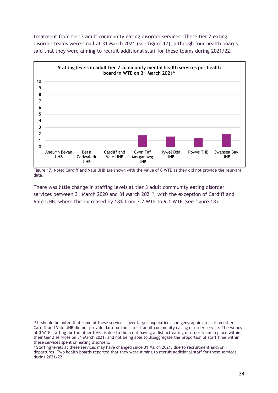treatment from tier 3 adult community eating disorder services. These tier 2 eating disorder teams were small at 31 March 2021 (see figure 17), although four health boards said that they were aiming to recruit additional staff for these teams during 2021/22.

![](_page_25_Figure_1.jpeg)

Figure 17. Note: Cardiff and Vale UHB are shown with the value of 0 WTE as they did not provide the relevant data.

There was little change in staffing levels at tier 3 adult community eating disorder services between 31 March 2020 and 31 March 2021<sup>x</sup>, with the exception of Cardiff and Vale UHB, where this increased by 18% from 7.7 WTE to 9.1 WTE (see figure 18).

ix It should be noted that some of these services cover larger populations and geographic areas than others. Cardiff and Vale UHB did not provide data for their tier 2 adult community eating disorder service. The values of 0 WTE staffing for the other UHBs is due to them not having a distinct eating disorder team in place within their tier 2 services on 31 March 2021, and not being able to disaggregate the proportion of staff time within these services spent on eating disorders.

<sup>x</sup> Staffing levels at these services may have changed since 31 March 2021, due to recruitment and/or departures. Two health boards reported that they were aiming to recruit additional staff for these services during 2021/22.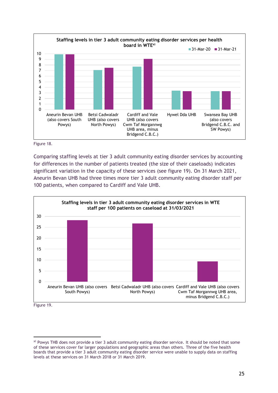![](_page_26_Figure_0.jpeg)

Figure 18.

Comparing staffing levels at tier 3 adult community eating disorder services by accounting for differences in the number of patients treated (the size of their caseloads) indicates significant variation in the capacity of these services (see figure 19). On 31 March 2021, Aneurin Bevan UHB had three times more tier 3 adult community eating disorder staff per 100 patients, when compared to Cardiff and Vale UHB.

![](_page_26_Figure_3.jpeg)

Figure 19.

xi Powys THB does not provide a tier 3 adult community eating disorder service. It should be noted that some of these services cover far larger populations and geographic areas than others. Three of the five health boards that provide a tier 3 adult community eating disorder service were unable to supply data on staffing levels at these services on 31 March 2018 or 31 March 2019.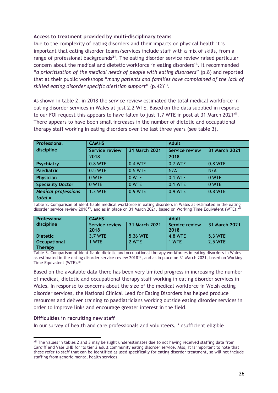#### **Access to treatment provided by multi-disciplinary teams**

Due to the complexity of eating disorders and their impacts on physical health it is important that eating disorder teams/services include staff with a mix of skills, from a range of professional backgrounds**<sup>31</sup>** . The eating disorder service review raised particular concern about the medical and dietetic workforce in eating disorders**<sup>13</sup>** . It recommended "*a prioritisation of the medical needs of people with eating disorders*" (p.8) and reported that at their public workshops "*many patients and families have complained of the lack of skilled eating disorder specific dietitian support*" (p.42)**<sup>13</sup>** .

As shown in table 2, in 2018 the service review estimated the total medical workforce in eating disorder services in Wales at just 2.2 WTE. Based on the data supplied in response to our FOI request this appears to have fallen to just 1.7 WTE in post at 31 March 2021<sup>xii</sup>. There appears to have been small increases in the number of dietetic and occupational therapy staff working in eating disorders over the last three years (see table 3).

| Professional                            | <b>CAMHS</b>                  |               | <b>Adult</b>                  |               |  |  |
|-----------------------------------------|-------------------------------|---------------|-------------------------------|---------------|--|--|
| discipline                              | <b>Service review</b><br>2018 | 31 March 2021 | <b>Service review</b><br>2018 | 31 March 2021 |  |  |
| Psychiatry                              | 0.8 WTE                       | 0.4 WTE       | 0.7 WTE                       | 0.8 WTE       |  |  |
| Paediatric                              | 0.5 WTE                       | 0.5 WTE       | N/A                           | N/A           |  |  |
| Physician                               | 0 WTE                         | 0 WTE         | 0.1 WTE                       | 0 WTE         |  |  |
| <b>Speciality Doctor</b>                | 0 WTE                         | 0 WTE         | 0.1 WTE                       | 0 WTE         |  |  |
| <b>Medical professions</b><br>$total =$ | <b>1.3 WTE</b>                | 0.9 WTE       | 0.9 WTE                       | 0.8 WTE       |  |  |

Table 2. Comparison of identifiable medical workforce in eating disorders in Wales as estimated in the eating disorder service review 2018<sup>13</sup>, and as in place on 31 March 2021, based on Working Time Equivalent (WTE).<sup>xii</sup>

| <b>Professional</b> | <b>CAMHS</b>   |               | Adult                 |               |  |  |
|---------------------|----------------|---------------|-----------------------|---------------|--|--|
| discipline          | Service review | 31 March 2021 | <b>Service review</b> | 31 March 2021 |  |  |
|                     | 2018           |               | 2018                  |               |  |  |
| Dietetic            | 3.7 WTE        | 5.36 WTE      | 4.8 WTE               | 5.3 WTE       |  |  |
| <b>Occupational</b> | 1 WTE          | 2 WTE         | 1 WTE                 | 2.5 WTE       |  |  |
| Therapy             |                |               |                       |               |  |  |

Table 3. Comparison of identifiable dietetic and occupational therapy workforces in eating disorders in Wales as estimated in the eating disorder service review 2018**<sup>13</sup>** , and as in place on 31 March 2021, based on Working Time Equivalent (WTE). xii

Based on the available data there has been very limited progress in increasing the number of medical, dietetic and occupational therapy staff working in eating disorder services in Wales. In response to concerns about the size of the medical workforce in Welsh eating disorder services, the National Clinical Lead for Eating Disorders has helped produce resources and deliver training to paediatricians working outside eating disorder services in order to improve links and encourage greater interest in the field.

#### **Difficulties in recruiting new staff**

In our survey of health and care professionals and volunteers, 'Insufficient eligible

xii The values in tables 2 and 3 may be slight underestimates due to not having received staffing data from Cardiff and Vale UHB for its tier 2 adult community eating disorder service. Also, it is important to note that these refer to staff that can be identified as used specifically for eating disorder treatment, so will not include staffing from generic mental health services.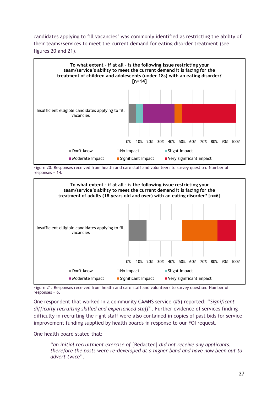candidates applying to fill vacancies' was commonly identified as restricting the ability of their teams/services to meet the current demand for eating disorder treatment (see figures 20 and 21).

![](_page_28_Figure_1.jpeg)

Figure 20. Responses received from health and care staff and volunteers to survey question. Number of responses = 14.

![](_page_28_Figure_3.jpeg)

Figure 21. Responses received from health and care staff and volunteers to survey question. Number of responses = 6.

One respondent that worked in a community CAMHS service (#5) reported: "*Significant difficulty recruiting skilled and experienced staff*". Further evidence of services finding difficulty in recruiting the right staff were also contained in copies of past bids for service improvement funding supplied by health boards in response to our FOI request.

One health board stated that:

"*an initial recruitment exercise of* [Redacted] *did not receive any applicants, therefore the posts were re-developed at a higher band and have now been out to advert twice*".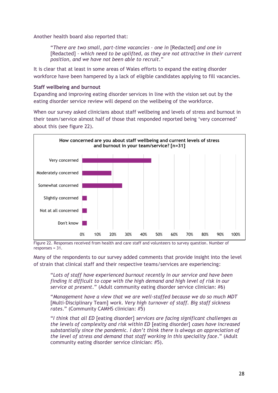Another health board also reported that:

"*There are two small, part-time vacancies – one in* [Redacted] *and one in*  [Redacted] - which need to be uplifted, as they are not attractive in their current *position, and we have not been able to recruit*."

It is clear that at least in some areas of Wales efforts to expand the eating disorder workforce have been hampered by a lack of eligible candidates applying to fill vacancies.

#### **Staff wellbeing and burnout**

Expanding and improving eating disorder services in line with the vision set out by the eating disorder service review will depend on the wellbeing of the workforce.

When our survey asked clinicians about staff wellbeing and levels of stress and burnout in their team/service almost half of those that responded reported being 'very concerned' about this (see figure 22).

![](_page_29_Figure_6.jpeg)

Figure 22. Responses received from health and care staff and volunteers to survey question. Number of responses = 31.

Many of the respondents to our survey added comments that provide insight into the level of strain that clinical staff and their respective teams/services are experiencing:

"*Lots of staff have experienced burnout recently in our service and have been finding it difficult to cope with the high demand and high level of risk in our service at present*." (Adult community eating disorder service clinician: #6)

"*Management have a view that we are well-staffed because we do so much MDT* [Multi-Disciplinary Team] *work. Very high turnover of staff. Big staff sickness rates*." (Community CAMHS clinician: #5)

"*I think that all ED* [eating disorder] *services are facing significant challenges as the levels of complexity and risk within ED* [eating disorder] *cases have increased substantially since the pandemic. I don't think there is always an appreciation of the level of stress and demand that staff working in this speciality face*." (Adult community eating disorder service clinician: #5).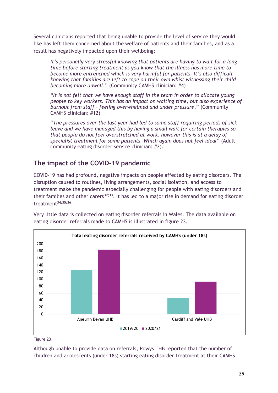Several clinicians reported that being unable to provide the level of service they would like has left them concerned about the welfare of patients and their families, and as a result has negatively impacted upon their wellbeing:

*It's personally very stressful knowing that patients are having to wait for a long time before starting treatment as you know that the illness has more time to become more entrenched which is very harmful for patients. It's also difficult knowing that families are left to cope on their own whist witnessing their child becoming more unwell*." (Community CAMHS clinician: #4)

"*It is not felt that we have enough staff in the team in order to allocate young people to key workers. This has an impact on waiting time, but also experience of burnout from staff – feeling overwhelmed and under pressure*." (Community CAMHS clinician: #12)

"*The pressures over the last year had led to some staff requiring periods of sick leave and we have managed this by having a small wait for certain therapies so that people do not feel overstretched at work, however this is at a delay of specialist treatment for some patients. Which again does not feel ideal*" (Adult community eating disorder service clinician: #2).

# **The impact of the COVID-19 pandemic**

COVID-19 has had profound, negative impacts on people affected by eating disorders. The disruption caused to routines, living arrangements, social isolation, and access to treatment make the pandemic especially challenging for people with eating disorders and their families and other carers**32;33** . It has led to a major rise in demand for eating disorder treatment**34;35;36** .

![](_page_30_Figure_6.jpeg)

Very little data is collected on eating disorder referrals in Wales. The data available on eating disorder referrals made to CAMHS is illustrated in figure 23.

Figure 23.

Although unable to provide data on referrals, Powys THB reported that the number of children and adolescents (under 18s) starting eating disorder treatment at their CAMHS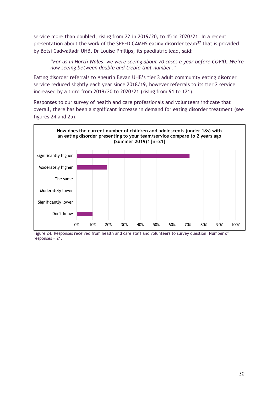service more than doubled, rising from 22 in 2019/20, to 45 in 2020/21. In a recent presentation about the work of the SPEED CAMHS eating disorder team**<sup>37</sup>** that is provided by Betsi Cadwalladr UHB, Dr Louise Phillips, its paediatric lead, said:

"*For us in North Wales, we were seeing about 70 cases a year before COVID…We're now seeing between double and treble that number*."

Eating disorder referrals to Aneurin Bevan UHB's tier 3 adult community eating disorder service reduced slightly each year since 2018/19, however referrals to its tier 2 service increased by a third from 2019/20 to 2020/21 (rising from 91 to 121).

Responses to our survey of health and care professionals and volunteers indicate that overall, there has been a significant increase in demand for eating disorder treatment (see figures 24 and 25).

![](_page_31_Figure_4.jpeg)

Figure 24. Responses received from health and care staff and volunteers to survey question. Number of responses = 21.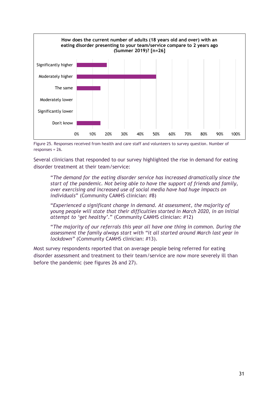![](_page_32_Figure_0.jpeg)

Figure 25. Responses received from health and care staff and volunteers to survey question. Number of responses = 26.

Several clinicians that responded to our survey highlighted the rise in demand for eating disorder treatment at their team/service:

"*The demand for the eating disorder service has increased dramatically since the start of the pandemic. Not being able to have the support of friends and family, over exercising and increased use of social media have had huge impacts on individuals*" (Community CAMHS clinician: #8)

"*Experienced a significant change in demand. At assessment, the majority of young people will state that their difficulties started in March 2020, in an initial attempt to 'get healthy'*." (Community CAMHS clinician: #12)

"*The majority of our referrals this year all have one thing in common. During the assessment the family always start with "it all started around March last year in lockdown"* (Community CAMHS clinician: #13).

Most survey respondents reported that on average people being referred for eating disorder assessment and treatment to their team/service are now more severely ill than before the pandemic (see figures 26 and 27).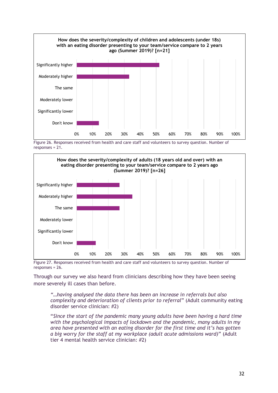![](_page_33_Figure_0.jpeg)

Figure 26. Responses received from health and care staff and volunteers to survey question. Number of responses = 21.

![](_page_33_Figure_2.jpeg)

Figure 27. Responses received from health and care staff and volunteers to survey question. Number of responses = 26.

Through our survey we also heard from clinicians describing how they have been seeing more severely ill cases than before.

*"…having analysed the data there has been an increase in referrals but also complexity and deterioration of clients prior to referral*" (Adult community eating disorder service clinician: #2)

"*Since the start of the pandemic many young adults have been having a hard time with the psychological impacts of lockdown and the pandemic, many adults in my area have presented with an eating disorder for the first time and it's has gotten a big worry for the staff at my workplace (adult acute admissions ward)*" (Adult tier 4 mental health service clinician: #2)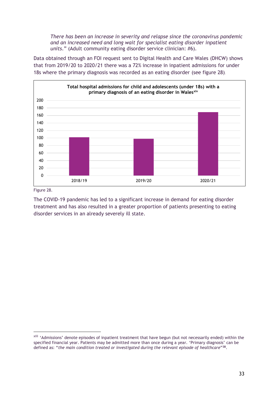*There has been an increase in severity and relapse since the coronavirus pandemic and an increased need and long wait for specialist eating disorder inpatient units*." (Adult community eating disorder service clinician: #6).

Data obtained through an FOI request sent to Digital Health and Care Wales (DHCW) shows that from 2019/20 to 2020/21 there was a 72% increase in inpatient admissions for under 18s where the primary diagnosis was recorded as an eating disorder (see figure 28).

![](_page_34_Figure_2.jpeg)

Figure 28.

The COVID-19 pandemic has led to a significant increase in demand for eating disorder treatment and has also resulted in a greater proportion of patients presenting to eating disorder services in an already severely ill state.

xiii 'Admissions' denote episodes of inpatient treatment that have begun (but not necessarily ended) within the specified financial year. Patients may be admitted more than once during a year. 'Primary diagnosis' can be defined as: "*the main condition treated or investigated during the relevant episode of healthcare*" **38** .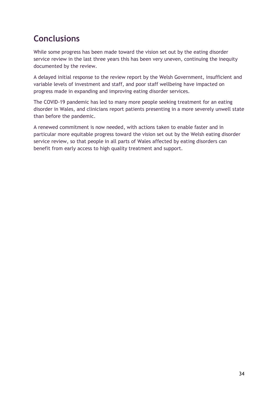# <span id="page-35-0"></span>**Conclusions**

While some progress has been made toward the vision set out by the eating disorder service review in the last three years this has been very uneven, continuing the inequity documented by the review.

A delayed initial response to the review report by the Welsh Government, insufficient and variable levels of investment and staff, and poor staff wellbeing have impacted on progress made in expanding and improving eating disorder services.

The COVID-19 pandemic has led to many more people seeking treatment for an eating disorder in Wales, and clinicians report patients presenting in a more severely unwell state than before the pandemic.

A renewed commitment is now needed, with actions taken to enable faster and in particular more equitable progress toward the vision set out by the Welsh eating disorder service review, so that people in all parts of Wales affected by eating disorders can benefit from early access to high quality treatment and support.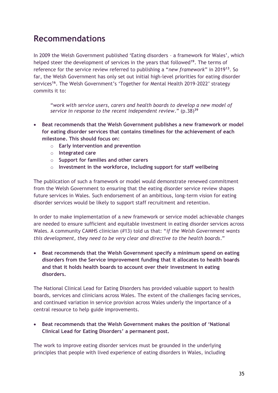# <span id="page-36-0"></span>**Recommendations**

In 2009 the Welsh Government published 'Eating disorders – a framework for Wales', which helped steer the development of services in the years that followed**<sup>19</sup>**. The terms of reference for the service review referred to publishing a "*new framework*" in 2019**<sup>13</sup>** . So far, the Welsh Government has only set out initial high-level priorities for eating disorder services **16** . The Welsh Government's 'Together for Mental Health 2019-2022' strategy commits it to:

"*work with service users, carers and health boards to develop a new model of service in response to the recent independent review*." (p.38) **39**

- **Beat recommends that the Welsh Government publishes a new framework or model for eating disorder services that contains timelines for the achievement of each milestone. This should focus on:**
	- o **Early intervention and prevention**
	- o **Integrated care**
	- o **Support for families and other carers**
	- o **Investment in the workforce, including support for staff wellbeing**

The publication of such a framework or model would demonstrate renewed commitment from the Welsh Government to ensuring that the eating disorder service review shapes future services in Wales. Such endorsement of an ambitious, long-term vision for eating disorder services would be likely to support staff recruitment and retention.

In order to make implementation of a new framework or service model achievable changes are needed to ensure sufficient and equitable investment in eating disorder services across Wales. A community CAMHS clinician (#13) told us that: "*if the Welsh Government wants this development, they need to be very clear and directive to the health boards*."

• **Beat recommends that the Welsh Government specify a minimum spend on eating disorders from the Service improvement funding that it allocates to health boards and that it holds health boards to account over their investment in eating disorders.**

The National Clinical Lead for Eating Disorders has provided valuable support to health boards, services and clinicians across Wales. The extent of the challenges facing services, and continued variation in service provision across Wales underly the importance of a central resource to help guide improvements.

• **Beat recommends that the Welsh Government makes the position of 'National Clinical Lead for Eating Disorders' a permanent post.**

The work to improve eating disorder services must be grounded in the underlying principles that people with lived experience of eating disorders in Wales, including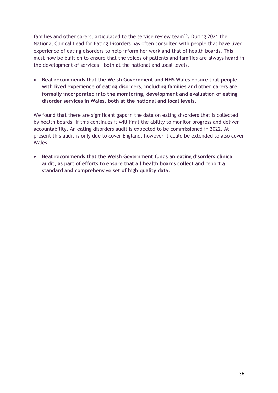families and other carers, articulated to the service review team**<sup>13</sup>** . During 2021 the National Clinical Lead for Eating Disorders has often consulted with people that have lived experience of eating disorders to help inform her work and that of health boards. This must now be built on to ensure that the voices of patients and families are always heard in the development of services – both at the national and local levels.

• **Beat recommends that the Welsh Government and NHS Wales ensure that people with lived experience of eating disorders, including families and other carers are formally incorporated into the monitoring, development and evaluation of eating disorder services in Wales, both at the national and local levels.**

We found that there are significant gaps in the data on eating disorders that is collected by health boards. If this continues it will limit the ability to monitor progress and deliver accountability. An eating disorders audit is expected to be commissioned in 2022. At present this audit is only due to cover England, however it could be extended to also cover Wales.

• **Beat recommends that the Welsh Government funds an eating disorders clinical audit, as part of efforts to ensure that all health boards collect and report a standard and comprehensive set of high quality data.**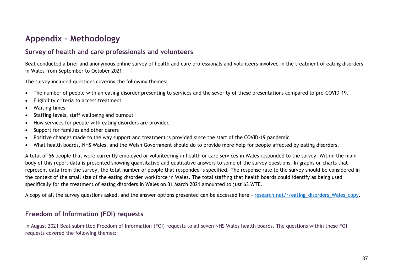# **Appendix – Methodology**

### **Survey of health and care professionals and volunteers**

Beat conducted a brief and anonymous online survey of health and care professionals and volunteers involved in the treatment of eating disorders in Wales from September to October 2021.

The survey included questions covering the following themes:

- The number of people with an eating disorder presenting to services and the severity of these presentations compared to pre-COVID-19.
- Eligibility criteria to access treatment
- Waiting times
- Staffing levels, staff wellbeing and burnout
- How services for people with eating disorders are provided
- Support for families and other carers
- Positive changes made to the way support and treatment is provided since the start of the COVID-19 pandemic
- What health boards, NHS Wales, and the Welsh Government should do to provide more help for people affected by eating disorders.

<span id="page-38-0"></span>A total of 56 people that were currently employed or volunteering in health or care services in Wales responded to the survey. Within the main body of this report data is presented showing quantitative and qualitative answers to some of the survey questions. In graphs or charts that represent data from the survey, the total number of people that responded is specified. The response rate to the survey should be considered in the context of the small size of the eating disorder workforce in Wales. The total staffing that health boards could identify as being used specifically for the treatment of eating disorders in Wales on 31 March 2021 amounted to just 63 WTE.

A copy of all the survey questions asked, and the answer options presented can be accessed here - [research.net/r/eating\\_disorders\\_Wales\\_copy.](https://www.research.net/r/eating_disorders_Wales_copy)

# **Freedom of Information (FOI) requests**

In August 2021 Beat submitted Freedom of Information (FOI) requests to all seven NHS Wales health boards. The questions within these FOI requests covered the following themes: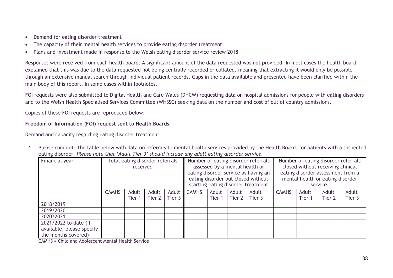- Demand for eating disorder treatment
- The capacity of their mental health services to provide eating disorder treatment
- Plans and investment made in response to the Welsh eating disorder service review 2018

Responses were received from each health board. A significant amount of the data requested was not provided. In most cases the health board explained that this was due to the data requested not being centrally recorded or collated, meaning that extracting it would only be possible through an extensive manual search through individual patient records. Gaps in the data available and presented have been clarified within the main body of this report, in some cases within footnotes.

FOI requests were also submitted to Digital Health and Care Wales (DHCW) requesting data on hospital admissions for people with eating disorders and to the Welsh Health Specialised Services Committee (WHSSC) seeking data on the number and cost of out of country admissions.

Copies of these FOI requests are reproduced below:

#### **Freedom of Information (FOI) request sent to Health Boards**

#### Demand and capacity regarding eating disorder treatment

1. Please complete the table below with data on referrals to mental health services provided by the Health Board, for patients with a suspected eating disorder. *Please note that 'Adult Tier 3' should include any adult eating disorder service.*

| Financial year                                   | Total eating disorder referrals<br>received |                 |                 | Number of eating disorder referrals<br>assessed by a mental health or<br>eating disorder service as having an<br>eating disorder but closed without<br>starting eating disorder treatment |              |                 | Number of eating disorder referrals<br>closed without receiving clinical<br>eating disorder assessment from a<br>mental health or eating disorder<br>service. |                 |              |                 |                 |                 |
|--------------------------------------------------|---------------------------------------------|-----------------|-----------------|-------------------------------------------------------------------------------------------------------------------------------------------------------------------------------------------|--------------|-----------------|---------------------------------------------------------------------------------------------------------------------------------------------------------------|-----------------|--------------|-----------------|-----------------|-----------------|
|                                                  | <b>CAMHS</b>                                | Adult<br>Tier 1 | Adult<br>Tier 2 | Adult<br>Tier 3                                                                                                                                                                           | <b>CAMHS</b> | Adult<br>Tier 1 | Adult<br>Tier 2                                                                                                                                               | Adult<br>Tier 3 | <b>CAMHS</b> | Adult<br>Tier 1 | Adult<br>Tier 2 | Adult<br>Tier 3 |
| 2018/2019                                        |                                             |                 |                 |                                                                                                                                                                                           |              |                 |                                                                                                                                                               |                 |              |                 |                 |                 |
| 2019/2020                                        |                                             |                 |                 |                                                                                                                                                                                           |              |                 |                                                                                                                                                               |                 |              |                 |                 |                 |
| 2020/2021                                        |                                             |                 |                 |                                                                                                                                                                                           |              |                 |                                                                                                                                                               |                 |              |                 |                 |                 |
| 2021/2022 to date (if                            |                                             |                 |                 |                                                                                                                                                                                           |              |                 |                                                                                                                                                               |                 |              |                 |                 |                 |
| available, please specify<br>the months covered) |                                             |                 |                 |                                                                                                                                                                                           |              |                 |                                                                                                                                                               |                 |              |                 |                 |                 |

CAMHS = Child and Adolescent Mental Health Service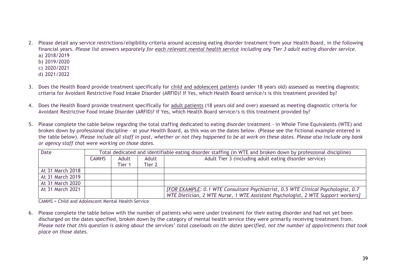- 2. Please detail any service restrictions/eligibility criteria around accessing eating disorder treatment from your Health Board, in the following financial years. *Please list answers separately for each relevant mental health service including any Tier 3 adult eating disorder service.* a) 2018/2019
	- b) 2019/2020
	- c) 2020/2021
	- d) 2021/2022
- 3. Does the Health Board provide treatment specifically for child and adolescent patients (under 18 years old) assessed as meeting diagnostic criteria for Avoidant Restrictive Food Intake Disorder (ARFID)? If Yes, which Health Board service/s is this treatment provided by?
- 4. Does the Health Board provide treatment specifically for adult patients (18 years old and over) assessed as meeting diagnostic criteria for Avoidant Restrictive Food Intake Disorder (ARFID)? If Yes, which Health Board service/s is this treatment provided by?
- 5. Please complete the table below regarding the total staffing dedicated to eating disorder treatment in Whole Time Equivalents (WTE) and broken down by professional discipline - at your Health Board, as this was on the dates below. (Please see the fictional example entered in the table below). *Please include all staff in post, whether or not they happened to be at work on these dates. Please also include any bank or agency staff that were working on those dates.*

| Date             | Total dedicated and identifiable eating disorder staffing (in WTE and broken down by professional discipline) |        |        |                                                                                   |  |  |  |  |  |
|------------------|---------------------------------------------------------------------------------------------------------------|--------|--------|-----------------------------------------------------------------------------------|--|--|--|--|--|
|                  | <b>CAMHS</b>                                                                                                  | Adult  | Adult  | Adult Tier 3 (including adult eating disorder service)                            |  |  |  |  |  |
|                  |                                                                                                               | Tier 1 | Tier 2 |                                                                                   |  |  |  |  |  |
| At 31 March 2018 |                                                                                                               |        |        |                                                                                   |  |  |  |  |  |
| At 31 March 2019 |                                                                                                               |        |        |                                                                                   |  |  |  |  |  |
| At 31 March 2020 |                                                                                                               |        |        |                                                                                   |  |  |  |  |  |
| At 31 March 2021 |                                                                                                               |        |        | [FOR EXAMPLE: 0.1 WTE Consultant Psychiatrist, 0.5 WTE Clinical Psychologist, 0.7 |  |  |  |  |  |
|                  |                                                                                                               |        |        | WTE Dietician, 2 WTE Nurse, 1 WTE Assistant Psychologist, 2 WTE Support workers]  |  |  |  |  |  |

CAMHS = Child and Adolescent Mental Health Service

6. Please complete the table below with the number of patients who were under treatment for their eating disorder and had not yet been discharged on the dates specified, broken down by the category of mental health service they were primarily receiving treatment from. *Please note that this question is asking about the services' total caseloads on the dates specified, not the number of appointments that took place on those dates.*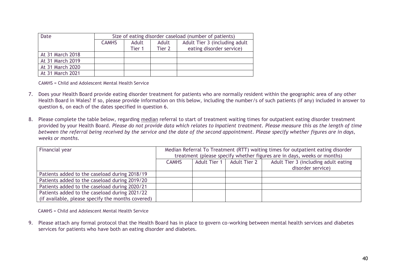| Date             | Size of eating disorder caseload (number of patients) |        |        |                               |  |  |  |  |
|------------------|-------------------------------------------------------|--------|--------|-------------------------------|--|--|--|--|
|                  | <b>CAMHS</b>                                          | Adult  | Adult  | Adult Tier 3 (including adult |  |  |  |  |
|                  |                                                       | Tier 1 | Tier 2 | eating disorder service)      |  |  |  |  |
| At 31 March 2018 |                                                       |        |        |                               |  |  |  |  |
| At 31 March 2019 |                                                       |        |        |                               |  |  |  |  |
| At 31 March 2020 |                                                       |        |        |                               |  |  |  |  |
| At 31 March 2021 |                                                       |        |        |                               |  |  |  |  |

CAMHS = Child and Adolescent Mental Health Service

- 7. Does your Health Board provide eating disorder treatment for patients who are normally resident within the geographic area of any other Health Board in Wales? If so, please provide information on this below, including the number/s of such patients (if any) included in answer to question 6, on each of the dates specified in question 6.
- 8. Please complete the table below, regarding median referral to start of treatment waiting times for outpatient eating disorder treatment provided by your Health Board. *Please do not provide data which relates to Inpatient treatment. Please measure this as the length of time between the referral being received by the service and the date of the second appointment. Please specify whether figures are in days, weeks or months*.

| Financial year                                    | Median Referral To Treatment (RTT) waiting times for outpatient eating disorder<br>treatment (please specify whether figures are in days, weeks or months) |  |  |  |  |  |  |
|---------------------------------------------------|------------------------------------------------------------------------------------------------------------------------------------------------------------|--|--|--|--|--|--|
|                                                   | Adult Tier 3 (including adult eating<br>Adult Tier 1<br>Adult Tier 2<br><b>CAMHS</b><br>disorder service)                                                  |  |  |  |  |  |  |
| Patients added to the caseload during 2018/19     |                                                                                                                                                            |  |  |  |  |  |  |
| Patients added to the caseload during 2019/20     |                                                                                                                                                            |  |  |  |  |  |  |
| Patients added to the caseload during 2020/21     |                                                                                                                                                            |  |  |  |  |  |  |
| Patients added to the caseload during 2021/22     |                                                                                                                                                            |  |  |  |  |  |  |
| (if available, please specify the months covered) |                                                                                                                                                            |  |  |  |  |  |  |

CAMHS = Child and Adolescent Mental Health Service

9. Please attach any formal protocol that the Health Board has in place to govern co-working between mental health services and diabetes services for patients who have both an eating disorder and diabetes.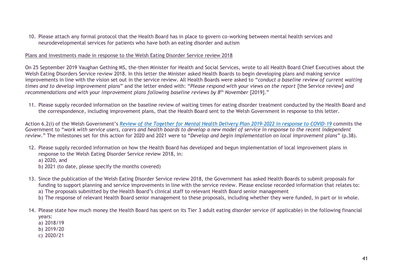10. Please attach any formal protocol that the Health Board has in place to govern co-working between mental health services and neurodevelopmental services for patients who have both an eating disorder and autism

#### Plans and investments made in response to the Welsh Eating Disorder Service review 2018

On 25 September 2019 Vaughan Gething MS, the-then Minister for Health and Social Services, wrote to all Health Board Chief Executives about the Welsh Eating Disorders Service review 2018. In this letter the Minister asked Health Boards to begin developing plans and making service improvements in line with the vision set out in the service review. All Health Boards were asked to "*conduct a baseline review of current waiting times and to develop improvement plans*" and the letter ended with: "*Please respond with your views on the report* [the Service review] *and recommendations and with your improvement plans following baseline reviews by 8th November* [2019]."

11. Please supply recorded information on the baseline review of waiting times for eating disorder treatment conducted by the Health Board and the correspondence, including improvement plans, that the Health Board sent to the Welsh Government in response to this letter.

Action 6.2(i) of the Welsh Government's *[Review of the Together for Mental Health Delivery Plan 2019-2022 in response to COVID-19](https://gov.wales/sites/default/files/publications/2020-10/review-of-the-together-for-mental-health-delivery-plan-20192022-in-response-to-covid-19_0.pdf)* commits the Government to "*work with service users, carers and health boards to develop a new model of service in response to the recent independent review*." The milestones set for this action for 2020 and 2021 were to "*Develop and begin implementation on local improvement plans*" (p.38).

- 12. Please supply recorded information on how the Health Board has developed and begun implementation of local improvement plans in response to the Welsh Eating Disorder Service review 2018, in: a) 2020, and
	- b) 2021 (to date, please specify the months covered)
- 13. Since the publication of the Welsh Eating Disorder Service review 2018, the Government has asked Health Boards to submit proposals for funding to support planning and service improvements in line with the service review. Please enclose recorded information that relates to: a) The proposals submitted by the Health Board's clinical staff to relevant Health Board senior management
	- b) The response of relevant Health Board senior management to these proposals, including whether they were funded, in part or in whole.
- 14. Please state how much money the Health Board has spent on its Tier 3 adult eating disorder service (if applicable) in the following financial years:
	- a) 2018/19
	- b) 2019/20
	- c) 2020/21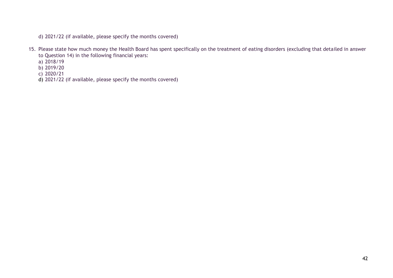d) 2021/22 (if available, please specify the months covered)

- 15. Please state how much money the Health Board has spent specifically on the treatment of eating disorders (excluding that detailed in answer to Question 14) in the following financial years:
	- a) 2018/19
	- b) 2019/20
	- c) 2020/21
	- d) 2021/22 (if available, please specify the months covered)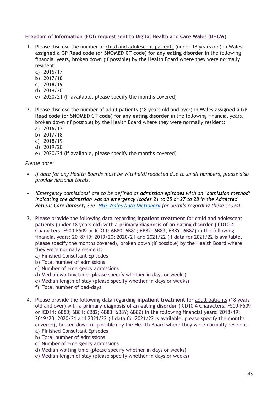#### **Freedom of Information (FOI) request sent to Digital Health and Care Wales (DHCW)**

- 1. Please disclose the number of child and adolescent patients (under 18 years old) in Wales **assigned a GP Read code (or SNOMED CT code) for any eating disorder** in the following financial years, broken down (if possible) by the Health Board where they were normally resident:
	- a) 2016/17
	- b) 2017/18
	- c) 2018/19
	- d) 2019/20
	- e) 2020/21 (If available, please specify the months covered)
- 2. Please disclose the number of adult patients (18 years old and over) in Wales **assigned a GP Read code (or SNOMED CT code) for any eating disorder** in the following financial years, broken down (if possible) by the Health Board where they were normally resident:
	- a) 2016/17
	- b) 2017/18
	- c) 2018/19
	- d) 2019/20
	- e) 2020/21 (If available, please specify the months covered)

*Please note:*

- *If data for any Health Boards must be withheld/redacted due to small numbers, please also provide national totals.*
- *'Emergency admissions' are to be defined as admission episodes with an 'admission method' indicating the admission was an emergency (codes 21 to 25 or 27 to 28 in the Admitted Patient Care Dataset, See: [NHS Wales Data Dictionary](http://www.datadictionary.wales.nhs.uk/#!WordDocuments/admissionmethod.htm) for details regarding these codes).*
- 3. Please provide the following data regarding **inpatient treatment** for child and adolescent patients (under 18 years old) with a **primary diagnosis of an eating disorder** (ICD10 4 Characters: F500-F509 or ICD11: 6B80; 6B81; 6B82; 6B83; 6B8Y; 6B8Z) in the following financial years: 2018/19; 2019/20; 2020/21 and 2021/22 (If data for 2021/22 is available, please specify the months covered), broken down (if possible) by the Health Board where they were normally resident:
	- a) Finished Consultant Episodes
	- b) Total number of admissions:
	- c) Number of emergency admissions
	- d) Median waiting time (please specify whether in days or weeks)
	- e) Median length of stay (please specify whether in days or weeks)
	- f) Total number of bed-days
- 4. Please provide the following data regarding **inpatient treatment** for adult patients (18 years old and over) with a **primary diagnosis of an eating disorder** (ICD10 4 Characters: F500-F509 or ICD11: 6B80; 6B81; 6B82; 6B83; 6B8Y; 6B8Z) in the following financial years: 2018/19; 2019/20; 2020/21 and 2021/22 (If data for 2021/22 is available, please specify the months covered), broken down (if possible) by the Health Board where they were normally resident:
	- a) Finished Consultant Episodes
	- b) Total number of admissions: c) Number of emergency admissions
	- d) Median waiting time (please specify whether in days or weeks)
	- e) Median length of stay (please specify whether in days or weeks)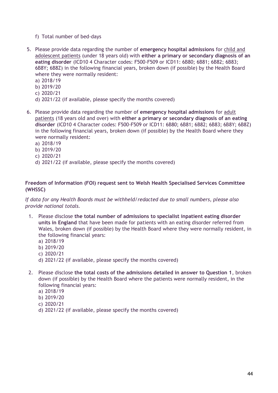- f) Total number of bed-days
- 5. Please provide data regarding the number of **emergency hospital admissions** for child and adolescent patients (under 18 years old) with **either a primary or secondary diagnosis of an eating disorder** (ICD10 4 Character codes: F500-F509 or ICD11: 6B80; 6B81; 6B82; 6B83; 6B8Y; 6B8Z) in the following financial years, broken down (if possible) by the Health Board where they were normally resident:
	- a) 2018/19
	- b) 2019/20
	- c) 2020/21
	- d) 2021/22 (if available, please specify the months covered)
- 6. Please provide data regarding the number of **emergency hospital admissions** for adult patients (18 years old and over) with **either a primary or secondary diagnosis of an eating disorder** (ICD10 4 Character codes: F500-F509 or ICD11: 6B80; 6B81; 6B82; 6B83; 6B8Y; 6B8Z) in the following financial years, broken down (if possible) by the Health Board where they were normally resident:
	- a) 2018/19
	- b) 2019/20
	- c) 2020/21
	- d) 2021/22 (if available, please specify the months covered)

#### **Freedom of Information (FOI) request sent to Welsh Health Specialised Services Committee (WHSSC)**

*If data for any Health Boards must be withheld/redacted due to small numbers, please also provide national totals.*

- 1. Please disclose **the total number of admissions to specialist inpatient eating disorder units in England** that have been made for patients with an eating disorder referred from Wales, broken down (if possible) by the Health Board where they were normally resident, in the following financial years:
	- a) 2018/19
	- b) 2019/20
	- c) 2020/21
	- d) 2021/22 (if available, please specify the months covered)
- 2. Please disclose **the total costs of the admissions detailed in answer to Question 1**, broken down (if possible) by the Health Board where the patients were normally resident, in the following financial years:
	- a) 2018/19
	- b) 2019/20
	- c) 2020/21
	- d) 2021/22 (if available, please specify the months covered)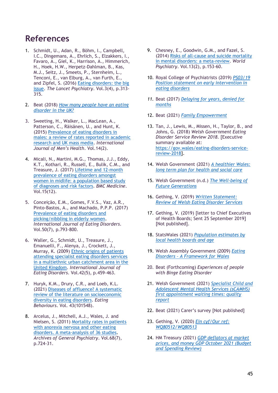# <span id="page-46-0"></span>**References**

- 1. Schmidt, U., Adan, R., Böhm, I., Campbell, I.C., Dingemans, A., Ehrlich, S., Elzakkers, I., Favaro, A., Giel, K., Harrison, A., Himmerich, H., Hoek, H.W., Herpetz-Dahlman, B., Kas, M.J., Seitz, J., Smeets, P., Sternheim, L., Tenconi, E., van Elburg, A., van Furth, E., and Zipfel, S. (2016) [Eating disorders: the big](https://www.thelancet.com/journals/lanpsy/article/PIIS2215-0366(16)00081-X/fulltext)  [issue.](https://www.thelancet.com/journals/lanpsy/article/PIIS2215-0366(16)00081-X/fulltext) *The Lancet Psychiatry*. Vol.3(4), p.313- 315.
- 2. Beat (2018) *[How many people have an eating](https://www.beateatingdisorders.org.uk/get-information-and-support/about-eating-disorders/how-many-people-eating-disorder-uk/)  [disorder in the UK?](https://www.beateatingdisorders.org.uk/get-information-and-support/about-eating-disorders/how-many-people-eating-disorder-uk/)*
- 3. Sweeting, H., Walker, L., MacLean, A., Patterson, C., Räisänen, U., and Hunt, K. (2015) [Prevalence of eating disorders in](https://www.ncbi.nlm.nih.gov/pmc/articles/PMC4538851/)  [males: a review of rates reported in academic](https://www.ncbi.nlm.nih.gov/pmc/articles/PMC4538851/)  [research and UK mass media.](https://www.ncbi.nlm.nih.gov/pmc/articles/PMC4538851/) *International Journal of Men's Health*. Vol.14(2).
- 4. Micali, N., Martini, M.G., Thomas, J.J., Eddy, K.T., Kothari, R., Russell, E., Bulik, C.M., and Treasure, J. (2017) [Lifetime and 12-month](https://bmcmedicine.biomedcentral.com/articles/10.1186/s12916-016-0766-4)  [prevalence of eating](https://bmcmedicine.biomedcentral.com/articles/10.1186/s12916-016-0766-4) disorders amongst [women in midlife: a population based study](https://bmcmedicine.biomedcentral.com/articles/10.1186/s12916-016-0766-4)  [of diagnoses and risk factors.](https://bmcmedicine.biomedcentral.com/articles/10.1186/s12916-016-0766-4) *BMC Medicine*. Vol.15(12).
- 5. Conceição, E.M., Gomes, F.V.S., Vaz, A.R., Pinto-Bastos, A., and Machado, P.P.P. (2017) [Prevalence of eating disorders and](https://onlinelibrary.wiley.com/doi/10.1002/eat.22700)  [picking/nibbling in elderly women.](https://onlinelibrary.wiley.com/doi/10.1002/eat.22700) *International Journal of Eating Disorders*. Vol.50(7), p.793-800.
- 6. Waller, G., Schmidt, U., Treasure, J., Emanuelli, F., Alenya, J., Crockett, J., Murray, K. (2009) [Ethnic origins of patients](https://onlinelibrary.wiley.com/doi/10.1002/eat.20631)  [attending specialist eating disorders services](https://onlinelibrary.wiley.com/doi/10.1002/eat.20631)  [in a multiethnic urban catchment area in the](https://onlinelibrary.wiley.com/doi/10.1002/eat.20631)  [United Kingdom.](https://onlinelibrary.wiley.com/doi/10.1002/eat.20631) *International Journal of Eating Disorders*. Vol.42(5), p.459-463.
- 7. Huryk, K.M., Drury, C.R., and Loeb, K.L. (2021) [Diseases of affluence? A systematic](https://www.sciencedirect.com/science/article/pii/S1471015321000751?via%3Dihub)  [review of the literature on socioeconomic](https://www.sciencedirect.com/science/article/pii/S1471015321000751?via%3Dihub)  [diversity in eating disorders.](https://www.sciencedirect.com/science/article/pii/S1471015321000751?via%3Dihub) *Eating Behaviours*. Vol. 43(101548).
- 8. Arcelus, J., Mitchell, A.J., Wales, J. and Nielsen, S. (2011) [Mortality rates in patients](https://jamanetwork.com/journals/jamapsychiatry/article-abstract/1107207)  [with anorexia nervosa and other eating](https://jamanetwork.com/journals/jamapsychiatry/article-abstract/1107207)  [disorders. A meta-analysis of 36 studies.](https://jamanetwork.com/journals/jamapsychiatry/article-abstract/1107207) *Archives of General Psychiatry*. Vol.68(7), p.724-31.
- 9. Chesney, E., Goodwin, G.M., and Fazel, S. (2014) [Risks of all-cause and suicide mortality](https://pubmed.ncbi.nlm.nih.gov/24890068/)  [in mental disorders: a meta-review.](https://pubmed.ncbi.nlm.nih.gov/24890068/) *World Psychiatry*. Vol.13(2), p.153-60.
- 10. Royal College of Psychiatrists (2019) *[PS03/19](https://www.rcpsych.ac.uk/docs/default-source/improving-care/better-mh-policy/position-statements/ps03_19.pdf?sfvrsn=b1283556_2)  [Position statement on early intervention in](https://www.rcpsych.ac.uk/docs/default-source/improving-care/better-mh-policy/position-statements/ps03_19.pdf?sfvrsn=b1283556_2)  [eating disorders](https://www.rcpsych.ac.uk/docs/default-source/improving-care/better-mh-policy/position-statements/ps03_19.pdf?sfvrsn=b1283556_2)*
- *11.* Beat (2017) *[Delaying for years, denied for](https://www.beateatingdisorders.org.uk/about-beat/policy-work/policy-and-best-practice-reports/delaying-for-years-denied-for-months/)  [months](https://www.beateatingdisorders.org.uk/about-beat/policy-work/policy-and-best-practice-reports/delaying-for-years-denied-for-months/)*
- 12. Beat (2021) *[Family Empowerment](https://www.beateatingdisorders.org.uk/about-beat/policy-work/policy-and-best-practice-reports/family-empowerment/)*
- 13. Tan, J., Lewis, M., Missen, H., Taylor, B., and Johns, G. (2018) *Welsh Government Eating Disorder Service Review 2018*. [Executive summary available at: [https://gov.wales/eating-disorders-service](https://gov.wales/eating-disorders-service-review-2018)[review-2018\]](https://gov.wales/eating-disorders-service-review-2018).
- 14. Welsh Government (2021) *[A healthier Wales:](https://gov.wales/healthier-wales-long-term-plan-health-and-social-care)  [long term plan for health and social care](https://gov.wales/healthier-wales-long-term-plan-health-and-social-care)*
- 15. Welsh Government (n.d.) *[The Well-being of](https://gov.wales/well-being-of-future-generations-wales)  [Future Generations](https://gov.wales/well-being-of-future-generations-wales)*
- 16. Gething, V. (2019) *[Written Statement:](https://gov.wales/written-statement-review-welsh-eating-disorder-services)  [Review of Welsh Eating Disorder Services](https://gov.wales/written-statement-review-welsh-eating-disorder-services)*
- 17. Gething, V. (2019) [letter to Chief Executives of Health Boards; Sent 25 September 2019] [Not published].
- 18. StatsWales (2021) *[Population estimates by](https://statswales.gov.wales/Catalogue/Population-and-Migration/Population/Estimates/Local-Health-Boards/populationestimates-by-lhb-age)  [local health boards](https://statswales.gov.wales/Catalogue/Population-and-Migration/Population/Estimates/Local-Health-Boards/populationestimates-by-lhb-age) and age*
- 19. Welsh Assembly Government (2009) *[Eating](http://www.wales.nhs.uk/sitesplus/documents/866/Eating%20Disorders%20-%20A%20Framework%20for%20Wales.pdf)  Disorders – [A Framework for Wales](http://www.wales.nhs.uk/sitesplus/documents/866/Eating%20Disorders%20-%20A%20Framework%20for%20Wales.pdf)*
- 20. Beat (Forthcoming) *Experiences of people with Binge Eating Disorder*
- 21. Welsh Government (2021) *[Specialist Child and](https://gov.wales/specialist-child-and-adolescent-mental-health-services-scamhs-first-appointment-waiting-times-quality-report-html#section-72797)  [Adolescent Mental Health Services \(sCAMHS\)](https://gov.wales/specialist-child-and-adolescent-mental-health-services-scamhs-first-appointment-waiting-times-quality-report-html#section-72797) [first appointment waiting times: quality](https://gov.wales/specialist-child-and-adolescent-mental-health-services-scamhs-first-appointment-waiting-times-quality-report-html#section-72797)  [report](https://gov.wales/specialist-child-and-adolescent-mental-health-services-scamhs-first-appointment-waiting-times-quality-report-html#section-72797)*
- 22. Beat (2021) Carer's survey [Not published]
- 23. Gething, V. (2020) *[Ein cyf/Our ref:](https://senedd.wales/written%20questions%20documents/information%20further%20to%20written%20question%2080512%20-13/wq80512%20-%20wq80513%20-e.pdf)  [WQ80512/WQ80513](https://senedd.wales/written%20questions%20documents/information%20further%20to%20written%20question%2080512%20-13/wq80512%20-%20wq80513%20-e.pdf)*
- 24. HM Treasury (2021) *[GDP deflators at market](https://www.gov.uk/government/statistics/gdp-deflators-at-market-prices-and-money-gdp-october-2021-budget-and-spending-review)  [prices, and money GDP October 2021 \(Budget](https://www.gov.uk/government/statistics/gdp-deflators-at-market-prices-and-money-gdp-october-2021-budget-and-spending-review)  [and Spending Review\)](https://www.gov.uk/government/statistics/gdp-deflators-at-market-prices-and-money-gdp-october-2021-budget-and-spending-review)*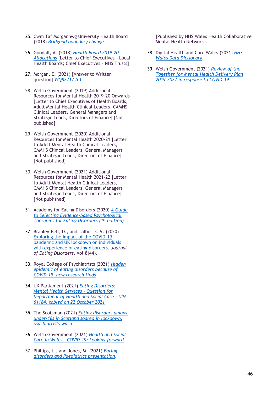- 25. Cwm Taf Morgannwg University Health Board (2018) *[Bridgend boundary change](https://cwmtafmorgannwg.wales/21998-2/)*
- 26. Goodall, A. (2018) *[Health Board 2019-20](https://gov.wales/sites/default/files/publications/2019-06/health-board-2019-20-allocations.pdf)  [Allocations](https://gov.wales/sites/default/files/publications/2019-06/health-board-2019-20-allocations.pdf)* [Letter to Chief Executives – Local Health Boards; Chief Executives – NHS Trusts]
- 27. Morgan, E. (2021) [Answer to Written question] *[WQ82217 \(e\)](https://record.senedd.wales/WrittenQuestion/82217)*
- 28. Welsh Government (2019) Additional Resources for Mental Health 2019-20 Onwards [Letter to Chief Executives of Health Boards, Adult Mental Health Clinical Leaders, CAMHS Clinical Leaders, General Managers and Strategic Leads, Directors of Finance] [Not published]
- 29. Welsh Government (2020) Additional Resources for Mental Health 2020-21 [Letter to Adult Mental Health Clinical Leaders, CAMHS Clinical Leaders, General Managers and Strategic Leads, Directors of Finance] [Not published]
- 30. Welsh Government (2021) Additional Resources for Mental Health 2021-22 [Letter to Adult Mental Health Clinical Leaders, CAMHS Clinical Leaders, General Managers and Strategic Leads, Directors of Finance] [Not published]
- 31. Academy for Eating Disorders (2020) *[A Guide](https://higherlogicdownload.s3.amazonaws.com/AEDWEB/27a3b69a-8aae-45b2-a04c-2a078d02145d/UploadedImages/Publications_Slider/FINAL_AED_Psycholohgical_book.pdf)  [to Selecting Evidence-based Psychological](https://higherlogicdownload.s3.amazonaws.com/AEDWEB/27a3b69a-8aae-45b2-a04c-2a078d02145d/UploadedImages/Publications_Slider/FINAL_AED_Psycholohgical_book.pdf)  [Therapies for Eating Disorders \(1](https://higherlogicdownload.s3.amazonaws.com/AEDWEB/27a3b69a-8aae-45b2-a04c-2a078d02145d/UploadedImages/Publications_Slider/FINAL_AED_Psycholohgical_book.pdf)st edition)*
- 32. Branley-Bell, D., and Talbot, C.V. (2020) [Exploring the impact of the COVID-19](https://jeatdisord.biomedcentral.com/articles/10.1186/s40337-020-00319-y)  [pandemic and UK lockdown on individuals](https://jeatdisord.biomedcentral.com/articles/10.1186/s40337-020-00319-y)  [with experience of eating disorders.](https://jeatdisord.biomedcentral.com/articles/10.1186/s40337-020-00319-y) *Journal of Eating Disorders*. Vol.8(44).
- 33. Royal College of Psychiatrists (2021) *[Hidden](https://www.rcpsych.ac.uk/news-and-features/latest-news/detail/2021/03/01/hidden-epidemic-of-eating-disorders-because-of-covid-19-new-research-finds)  [epidemic of eating disorders because of](https://www.rcpsych.ac.uk/news-and-features/latest-news/detail/2021/03/01/hidden-epidemic-of-eating-disorders-because-of-covid-19-new-research-finds)  [COVID-19, new research finds](https://www.rcpsych.ac.uk/news-and-features/latest-news/detail/2021/03/01/hidden-epidemic-of-eating-disorders-because-of-covid-19-new-research-finds)*
- 34. UK Parliament (2021) *[Eating Disorders:](https://questions-statements.parliament.uk/written-questions/detail/2021-10-22/61184/)  [Mental Health Services -](https://questions-statements.parliament.uk/written-questions/detail/2021-10-22/61184/) Question for [Department of Health and Social Care -](https://questions-statements.parliament.uk/written-questions/detail/2021-10-22/61184/) UIN [61184, tabled on 22 October 2021](https://questions-statements.parliament.uk/written-questions/detail/2021-10-22/61184/)*
- 35. The Scotsman (2021) *[Eating disorders among](https://www.scotsman.com/health/eating-disorders-among-under-18s-in-scotland-soared-in-lockdown-psychiatrists-warn-3274058)  [under-18s in Scotland soared in lockdown,](https://www.scotsman.com/health/eating-disorders-among-under-18s-in-scotland-soared-in-lockdown-psychiatrists-warn-3274058)  [psychiatrists warn](https://www.scotsman.com/health/eating-disorders-among-under-18s-in-scotland-soared-in-lockdown-psychiatrists-warn-3274058)*
- 36. Welsh Government (2021) *[Health and Social](https://gov.wales/sites/default/files/publications/2021-03/health-and-social-care-in-wales--covid-19-looking-forward_0.pdf)  Care in Wales – [COVID-19: Looking forward](https://gov.wales/sites/default/files/publications/2021-03/health-and-social-care-in-wales--covid-19-looking-forward_0.pdf)*
- 37. Phillips, L., and Jones, M. (2021) *[Eating](https://collaborative.nhs.wales/networks/wales-mental-health-network/eating-disorders/resources-for-practitioners/)  [disorders and Paediatrics presentation](https://collaborative.nhs.wales/networks/wales-mental-health-network/eating-disorders/resources-for-practitioners/)*.

[Published by NHS Wales Health Collaborative Mental Health Network].

- 38. Digital Health and Care Wales (2021) *[NHS](http://www.datadictionary.wales.nhs.uk/index.html#!WordDocuments/primarydiagnosis.htm)  [Wales Data Dictionary](http://www.datadictionary.wales.nhs.uk/index.html#!WordDocuments/primarydiagnosis.htm)*.
- 39. Welsh Government (2021) *[Review of the](https://gov.wales/mental-health-delivery-plan-2019-to-2022)  [Together for Mental Health Delivery Plan](https://gov.wales/mental-health-delivery-plan-2019-to-2022) [2019-2022 in response to COVID-19](https://gov.wales/mental-health-delivery-plan-2019-to-2022)*